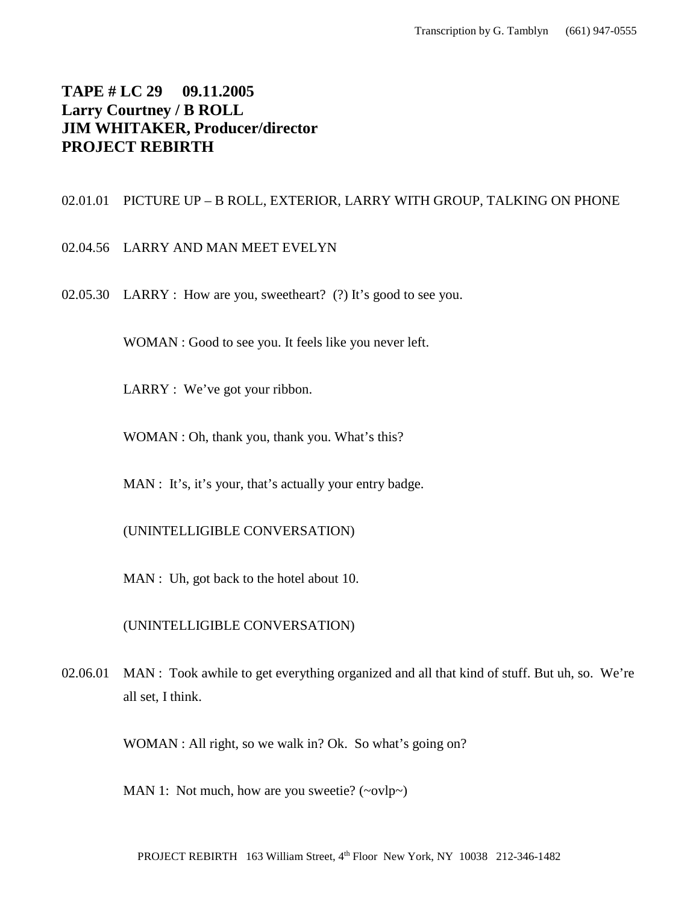# **TAPE # LC 29 09.11.2005 Larry Courtney / B ROLL JIM WHITAKER, Producer/director PROJECT REBIRTH**

# 02.01.01 PICTURE UP – B ROLL, EXTERIOR, LARRY WITH GROUP, TALKING ON PHONE

- 02.04.56 LARRY AND MAN MEET EVELYN
- 02.05.30 LARRY : How are you, sweetheart? (?) It's good to see you.

WOMAN : Good to see you. It feels like you never left.

LARRY : We've got your ribbon.

WOMAN : Oh, thank you, thank you. What's this?

MAN : It's, it's your, that's actually your entry badge.

(UNINTELLIGIBLE CONVERSATION)

MAN : Uh, got back to the hotel about 10.

(UNINTELLIGIBLE CONVERSATION)

02.06.01 MAN : Took awhile to get everything organized and all that kind of stuff. But uh, so. We're all set, I think.

WOMAN : All right, so we walk in? Ok. So what's going on?

MAN 1: Not much, how are you sweetie?  $(\sim ovlp\sim)$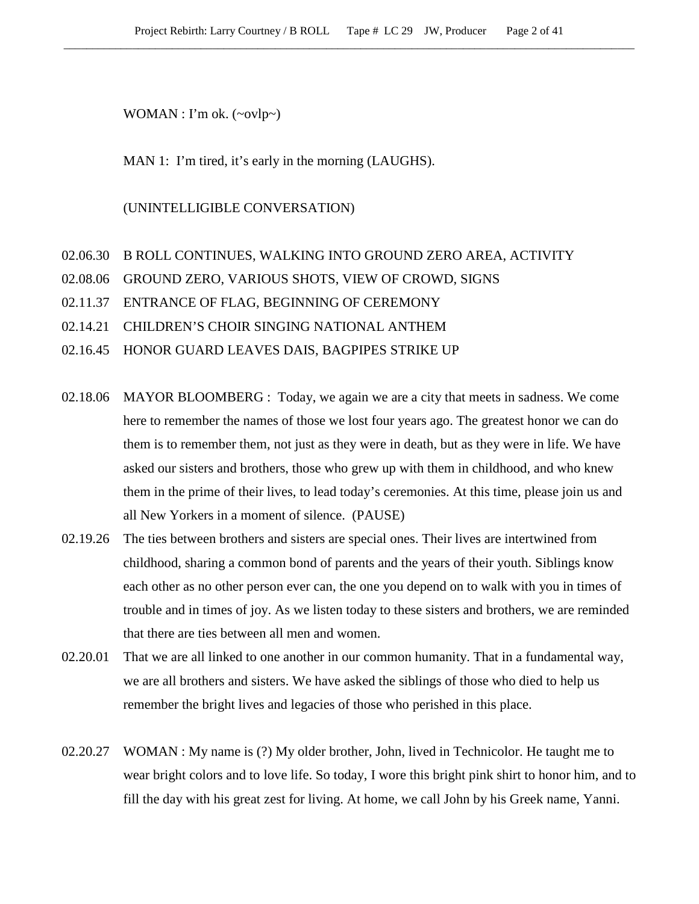WOMAN : I'm ok. (~ovlp~)

MAN 1: I'm tired, it's early in the morning (LAUGHS).

### (UNINTELLIGIBLE CONVERSATION)

### 02.06.30 B ROLL CONTINUES, WALKING INTO GROUND ZERO AREA, ACTIVITY

- 02.08.06 GROUND ZERO, VARIOUS SHOTS, VIEW OF CROWD, SIGNS
- 02.11.37 ENTRANCE OF FLAG, BEGINNING OF CEREMONY
- 02.14.21 CHILDREN'S CHOIR SINGING NATIONAL ANTHEM
- 02.16.45 HONOR GUARD LEAVES DAIS, BAGPIPES STRIKE UP
- 02.18.06 MAYOR BLOOMBERG : Today, we again we are a city that meets in sadness. We come here to remember the names of those we lost four years ago. The greatest honor we can do them is to remember them, not just as they were in death, but as they were in life. We have asked our sisters and brothers, those who grew up with them in childhood, and who knew them in the prime of their lives, to lead today's ceremonies. At this time, please join us and all New Yorkers in a moment of silence. (PAUSE)
- 02.19.26 The ties between brothers and sisters are special ones. Their lives are intertwined from childhood, sharing a common bond of parents and the years of their youth. Siblings know each other as no other person ever can, the one you depend on to walk with you in times of trouble and in times of joy. As we listen today to these sisters and brothers, we are reminded that there are ties between all men and women.
- 02.20.01 That we are all linked to one another in our common humanity. That in a fundamental way, we are all brothers and sisters. We have asked the siblings of those who died to help us remember the bright lives and legacies of those who perished in this place.
- 02.20.27 WOMAN : My name is (?) My older brother, John, lived in Technicolor. He taught me to wear bright colors and to love life. So today, I wore this bright pink shirt to honor him, and to fill the day with his great zest for living. At home, we call John by his Greek name, Yanni.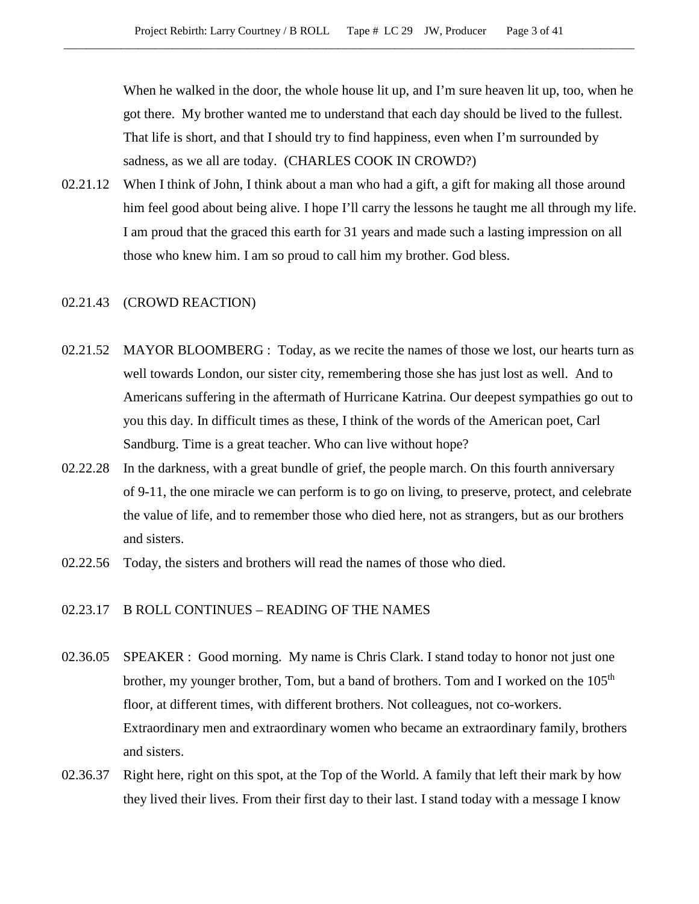When he walked in the door, the whole house lit up, and I'm sure heaven lit up, too, when he got there. My brother wanted me to understand that each day should be lived to the fullest. That life is short, and that I should try to find happiness, even when I'm surrounded by sadness, as we all are today. (CHARLES COOK IN CROWD?)

02.21.12 When I think of John, I think about a man who had a gift, a gift for making all those around him feel good about being alive. I hope I'll carry the lessons he taught me all through my life. I am proud that the graced this earth for 31 years and made such a lasting impression on all those who knew him. I am so proud to call him my brother. God bless.

### 02.21.43 (CROWD REACTION)

- 02.21.52 MAYOR BLOOMBERG : Today, as we recite the names of those we lost, our hearts turn as well towards London, our sister city, remembering those she has just lost as well. And to Americans suffering in the aftermath of Hurricane Katrina. Our deepest sympathies go out to you this day. In difficult times as these, I think of the words of the American poet, Carl Sandburg. Time is a great teacher. Who can live without hope?
- 02.22.28 In the darkness, with a great bundle of grief, the people march. On this fourth anniversary of 9-11, the one miracle we can perform is to go on living, to preserve, protect, and celebrate the value of life, and to remember those who died here, not as strangers, but as our brothers and sisters.
- 02.22.56 Today, the sisters and brothers will read the names of those who died.

# 02.23.17 B ROLL CONTINUES – READING OF THE NAMES

- 02.36.05 SPEAKER : Good morning. My name is Chris Clark. I stand today to honor not just one brother, my younger brother, Tom, but a band of brothers. Tom and I worked on the  $105<sup>th</sup>$ floor, at different times, with different brothers. Not colleagues, not co-workers. Extraordinary men and extraordinary women who became an extraordinary family, brothers and sisters.
- 02.36.37 Right here, right on this spot, at the Top of the World. A family that left their mark by how they lived their lives. From their first day to their last. I stand today with a message I know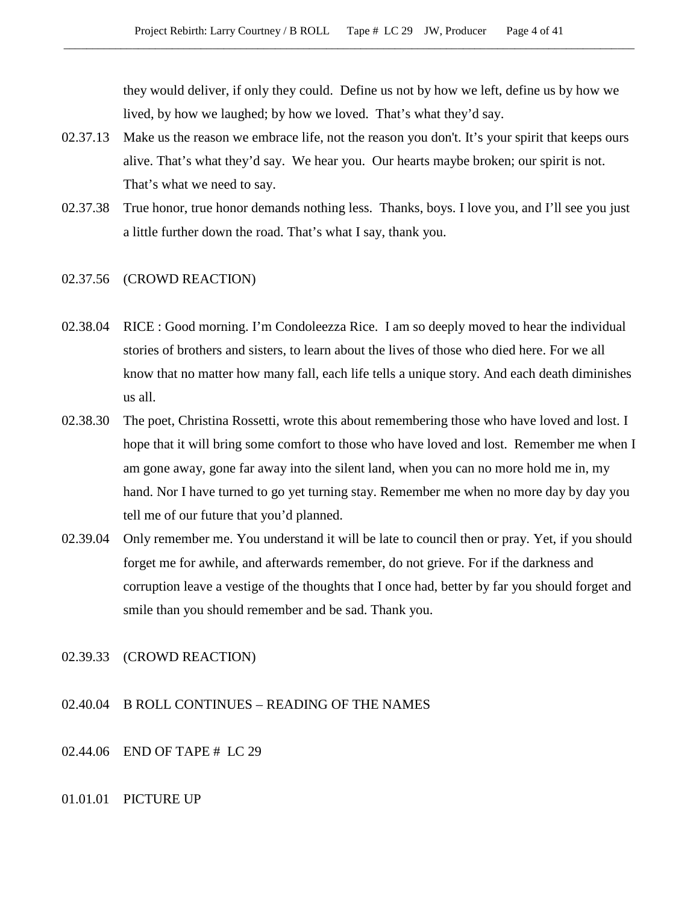they would deliver, if only they could. Define us not by how we left, define us by how we lived, by how we laughed; by how we loved. That's what they'd say.

- 02.37.13 Make us the reason we embrace life, not the reason you don't. It's your spirit that keeps ours alive. That's what they'd say. We hear you. Our hearts maybe broken; our spirit is not. That's what we need to say.
- 02.37.38 True honor, true honor demands nothing less. Thanks, boys. I love you, and I'll see you just a little further down the road. That's what I say, thank you.
- 02.37.56 (CROWD REACTION)
- 02.38.04 RICE : Good morning. I'm Condoleezza Rice. I am so deeply moved to hear the individual stories of brothers and sisters, to learn about the lives of those who died here. For we all know that no matter how many fall, each life tells a unique story. And each death diminishes us all.
- 02.38.30 The poet, Christina Rossetti, wrote this about remembering those who have loved and lost. I hope that it will bring some comfort to those who have loved and lost. Remember me when I am gone away, gone far away into the silent land, when you can no more hold me in, my hand. Nor I have turned to go yet turning stay. Remember me when no more day by day you tell me of our future that you'd planned.
- 02.39.04 Only remember me. You understand it will be late to council then or pray. Yet, if you should forget me for awhile, and afterwards remember, do not grieve. For if the darkness and corruption leave a vestige of the thoughts that I once had, better by far you should forget and smile than you should remember and be sad. Thank you.

#### 02.39.33 (CROWD REACTION)

- 02.40.04 B ROLL CONTINUES READING OF THE NAMES
- 02.44.06 END OF TAPE # LC 29

### 01.01.01 PICTURE UP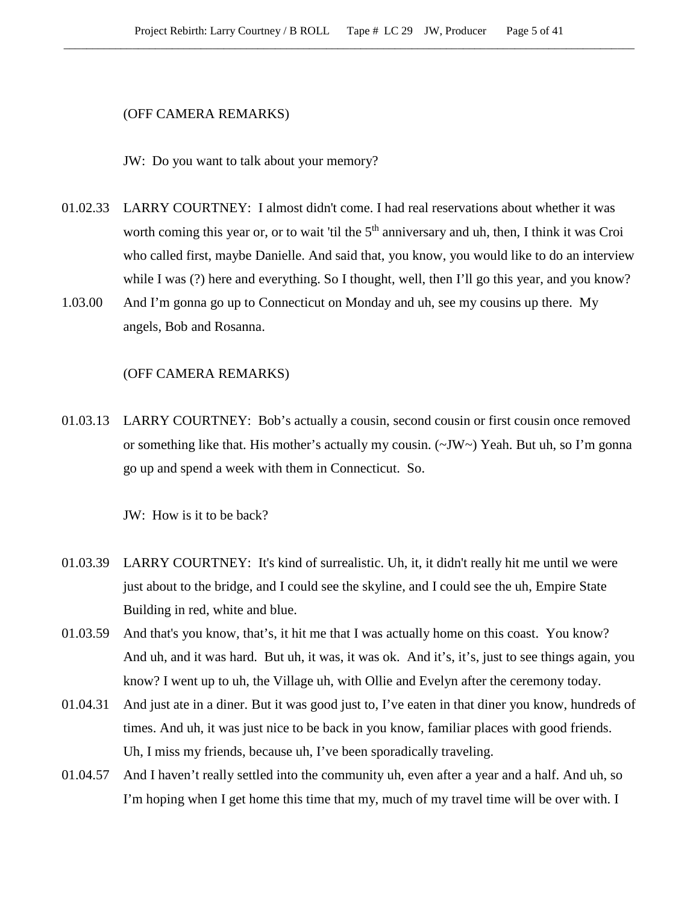### (OFF CAMERA REMARKS)

JW: Do you want to talk about your memory?

- 01.02.33 LARRY COURTNEY: I almost didn't come. I had real reservations about whether it was worth coming this year or, or to wait 'til the 5<sup>th</sup> anniversary and uh, then, I think it was Croi who called first, maybe Danielle. And said that, you know, you would like to do an interview while I was (?) here and everything. So I thought, well, then I'll go this year, and you know?
- 1.03.00 And I'm gonna go up to Connecticut on Monday and uh, see my cousins up there. My angels, Bob and Rosanna.

### (OFF CAMERA REMARKS)

01.03.13 LARRY COURTNEY: Bob's actually a cousin, second cousin or first cousin once removed or something like that. His mother's actually my cousin.  $(\sim JW \sim)$  Yeah. But uh, so I'm gonna go up and spend a week with them in Connecticut. So.

JW: How is it to be back?

- 01.03.39 LARRY COURTNEY: It's kind of surrealistic. Uh, it, it didn't really hit me until we were just about to the bridge, and I could see the skyline, and I could see the uh, Empire State Building in red, white and blue.
- 01.03.59 And that's you know, that's, it hit me that I was actually home on this coast. You know? And uh, and it was hard. But uh, it was, it was ok. And it's, it's, just to see things again, you know? I went up to uh, the Village uh, with Ollie and Evelyn after the ceremony today.
- 01.04.31 And just ate in a diner. But it was good just to, I've eaten in that diner you know, hundreds of times. And uh, it was just nice to be back in you know, familiar places with good friends. Uh, I miss my friends, because uh, I've been sporadically traveling.
- 01.04.57 And I haven't really settled into the community uh, even after a year and a half. And uh, so I'm hoping when I get home this time that my, much of my travel time will be over with. I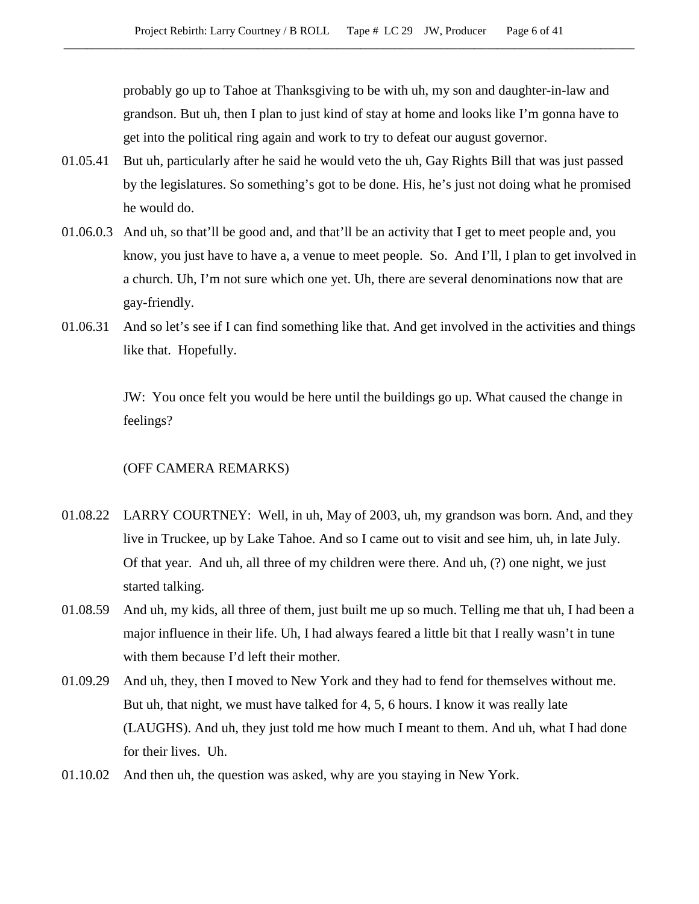probably go up to Tahoe at Thanksgiving to be with uh, my son and daughter-in-law and grandson. But uh, then I plan to just kind of stay at home and looks like I'm gonna have to get into the political ring again and work to try to defeat our august governor.

- 01.05.41 But uh, particularly after he said he would veto the uh, Gay Rights Bill that was just passed by the legislatures. So something's got to be done. His, he's just not doing what he promised he would do.
- 01.06.0.3 And uh, so that'll be good and, and that'll be an activity that I get to meet people and, you know, you just have to have a, a venue to meet people. So. And I'll, I plan to get involved in a church. Uh, I'm not sure which one yet. Uh, there are several denominations now that are gay-friendly.
- 01.06.31 And so let's see if I can find something like that. And get involved in the activities and things like that. Hopefully.

JW: You once felt you would be here until the buildings go up. What caused the change in feelings?

### (OFF CAMERA REMARKS)

- 01.08.22 LARRY COURTNEY: Well, in uh, May of 2003, uh, my grandson was born. And, and they live in Truckee, up by Lake Tahoe. And so I came out to visit and see him, uh, in late July. Of that year. And uh, all three of my children were there. And uh, (?) one night, we just started talking.
- 01.08.59 And uh, my kids, all three of them, just built me up so much. Telling me that uh, I had been a major influence in their life. Uh, I had always feared a little bit that I really wasn't in tune with them because I'd left their mother.
- 01.09.29 And uh, they, then I moved to New York and they had to fend for themselves without me. But uh, that night, we must have talked for 4, 5, 6 hours. I know it was really late (LAUGHS). And uh, they just told me how much I meant to them. And uh, what I had done for their lives. Uh.
- 01.10.02 And then uh, the question was asked, why are you staying in New York.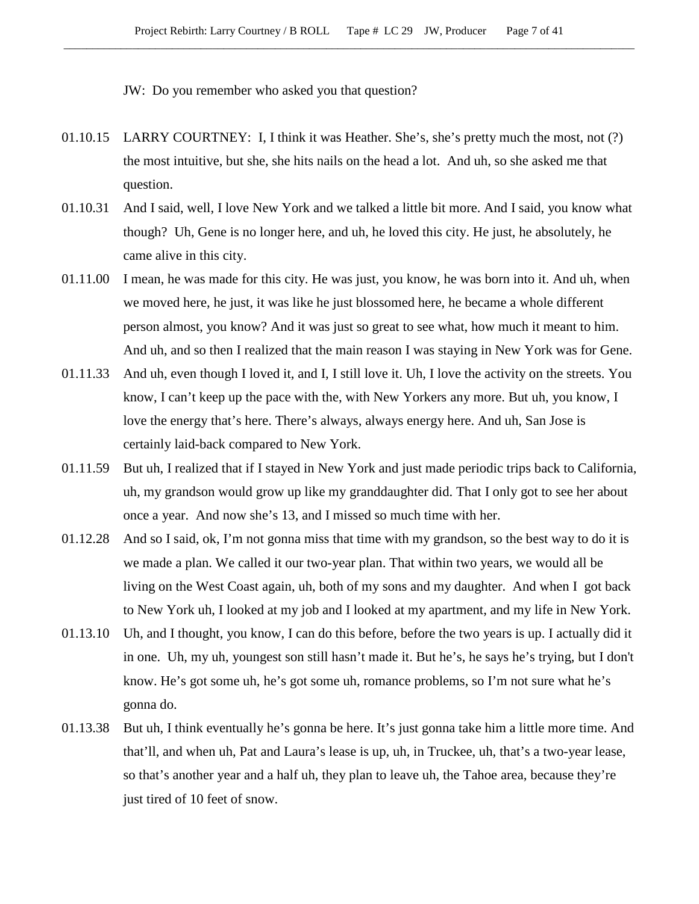JW: Do you remember who asked you that question?

- 01.10.15 LARRY COURTNEY: I, I think it was Heather. She's, she's pretty much the most, not (?) the most intuitive, but she, she hits nails on the head a lot. And uh, so she asked me that question.
- 01.10.31 And I said, well, I love New York and we talked a little bit more. And I said, you know what though? Uh, Gene is no longer here, and uh, he loved this city. He just, he absolutely, he came alive in this city.
- 01.11.00 I mean, he was made for this city. He was just, you know, he was born into it. And uh, when we moved here, he just, it was like he just blossomed here, he became a whole different person almost, you know? And it was just so great to see what, how much it meant to him. And uh, and so then I realized that the main reason I was staying in New York was for Gene.
- 01.11.33 And uh, even though I loved it, and I, I still love it. Uh, I love the activity on the streets. You know, I can't keep up the pace with the, with New Yorkers any more. But uh, you know, I love the energy that's here. There's always, always energy here. And uh, San Jose is certainly laid-back compared to New York.
- 01.11.59 But uh, I realized that if I stayed in New York and just made periodic trips back to California, uh, my grandson would grow up like my granddaughter did. That I only got to see her about once a year. And now she's 13, and I missed so much time with her.
- 01.12.28 And so I said, ok, I'm not gonna miss that time with my grandson, so the best way to do it is we made a plan. We called it our two-year plan. That within two years, we would all be living on the West Coast again, uh, both of my sons and my daughter. And when I got back to New York uh, I looked at my job and I looked at my apartment, and my life in New York.
- 01.13.10 Uh, and I thought, you know, I can do this before, before the two years is up. I actually did it in one. Uh, my uh, youngest son still hasn't made it. But he's, he says he's trying, but I don't know. He's got some uh, he's got some uh, romance problems, so I'm not sure what he's gonna do.
- 01.13.38 But uh, I think eventually he's gonna be here. It's just gonna take him a little more time. And that'll, and when uh, Pat and Laura's lease is up, uh, in Truckee, uh, that's a two-year lease, so that's another year and a half uh, they plan to leave uh, the Tahoe area, because they're just tired of 10 feet of snow.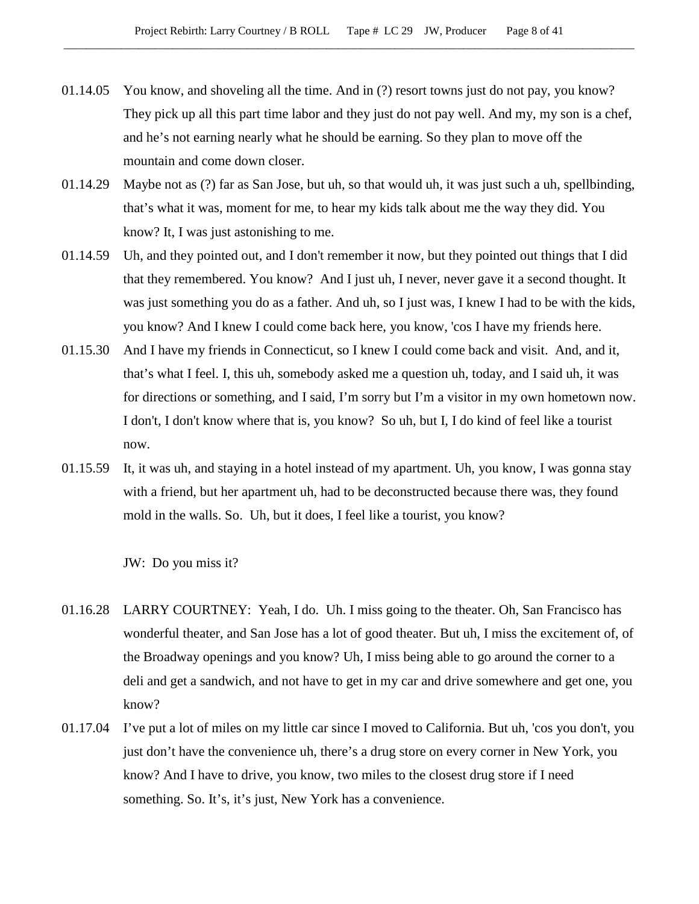- 01.14.05 You know, and shoveling all the time. And in (?) resort towns just do not pay, you know? They pick up all this part time labor and they just do not pay well. And my, my son is a chef, and he's not earning nearly what he should be earning. So they plan to move off the mountain and come down closer.
- 01.14.29 Maybe not as (?) far as San Jose, but uh, so that would uh, it was just such a uh, spellbinding, that's what it was, moment for me, to hear my kids talk about me the way they did. You know? It, I was just astonishing to me.
- 01.14.59 Uh, and they pointed out, and I don't remember it now, but they pointed out things that I did that they remembered. You know? And I just uh, I never, never gave it a second thought. It was just something you do as a father. And uh, so I just was, I knew I had to be with the kids, you know? And I knew I could come back here, you know, 'cos I have my friends here.
- 01.15.30 And I have my friends in Connecticut, so I knew I could come back and visit. And, and it, that's what I feel. I, this uh, somebody asked me a question uh, today, and I said uh, it was for directions or something, and I said, I'm sorry but I'm a visitor in my own hometown now. I don't, I don't know where that is, you know? So uh, but I, I do kind of feel like a tourist now.
- 01.15.59 It, it was uh, and staying in a hotel instead of my apartment. Uh, you know, I was gonna stay with a friend, but her apartment uh, had to be deconstructed because there was, they found mold in the walls. So. Uh, but it does, I feel like a tourist, you know?

JW: Do you miss it?

- 01.16.28 LARRY COURTNEY: Yeah, I do. Uh. I miss going to the theater. Oh, San Francisco has wonderful theater, and San Jose has a lot of good theater. But uh, I miss the excitement of, of the Broadway openings and you know? Uh, I miss being able to go around the corner to a deli and get a sandwich, and not have to get in my car and drive somewhere and get one, you know?
- 01.17.04 I've put a lot of miles on my little car since I moved to California. But uh, 'cos you don't, you just don't have the convenience uh, there's a drug store on every corner in New York, you know? And I have to drive, you know, two miles to the closest drug store if I need something. So. It's, it's just, New York has a convenience.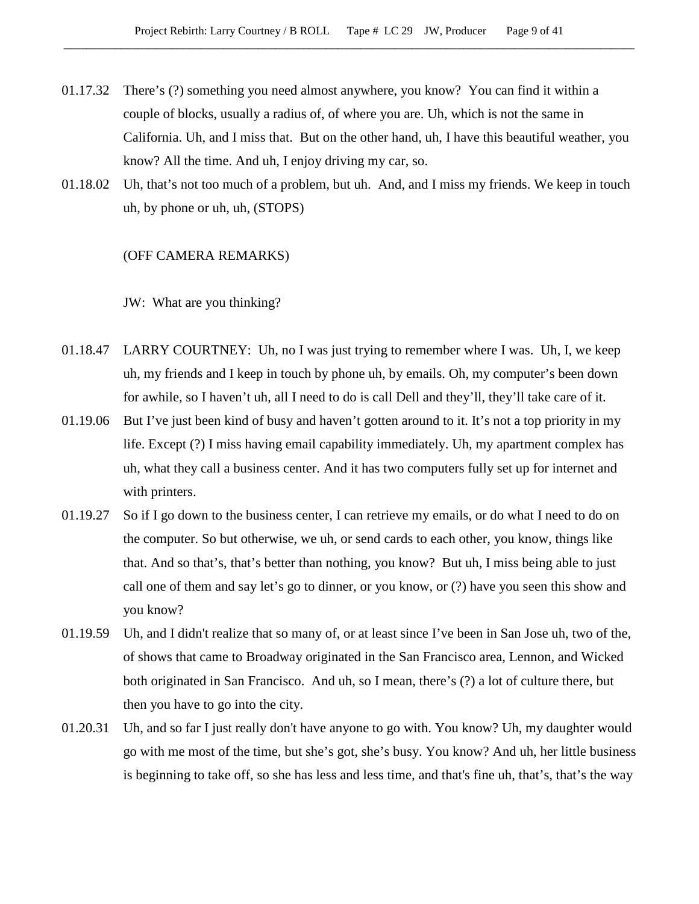- 01.17.32 There's (?) something you need almost anywhere, you know? You can find it within a couple of blocks, usually a radius of, of where you are. Uh, which is not the same in California. Uh, and I miss that. But on the other hand, uh, I have this beautiful weather, you know? All the time. And uh, I enjoy driving my car, so.
- 01.18.02 Uh, that's not too much of a problem, but uh. And, and I miss my friends. We keep in touch uh, by phone or uh, uh, (STOPS)

#### (OFF CAMERA REMARKS)

JW: What are you thinking?

- 01.18.47 LARRY COURTNEY: Uh, no I was just trying to remember where I was. Uh, I, we keep uh, my friends and I keep in touch by phone uh, by emails. Oh, my computer's been down for awhile, so I haven't uh, all I need to do is call Dell and they'll, they'll take care of it.
- 01.19.06 But I've just been kind of busy and haven't gotten around to it. It's not a top priority in my life. Except (?) I miss having email capability immediately. Uh, my apartment complex has uh, what they call a business center. And it has two computers fully set up for internet and with printers.
- 01.19.27 So if I go down to the business center, I can retrieve my emails, or do what I need to do on the computer. So but otherwise, we uh, or send cards to each other, you know, things like that. And so that's, that's better than nothing, you know? But uh, I miss being able to just call one of them and say let's go to dinner, or you know, or (?) have you seen this show and you know?
- 01.19.59 Uh, and I didn't realize that so many of, or at least since I've been in San Jose uh, two of the, of shows that came to Broadway originated in the San Francisco area, Lennon, and Wicked both originated in San Francisco. And uh, so I mean, there's (?) a lot of culture there, but then you have to go into the city.
- 01.20.31 Uh, and so far I just really don't have anyone to go with. You know? Uh, my daughter would go with me most of the time, but she's got, she's busy. You know? And uh, her little business is beginning to take off, so she has less and less time, and that's fine uh, that's, that's the way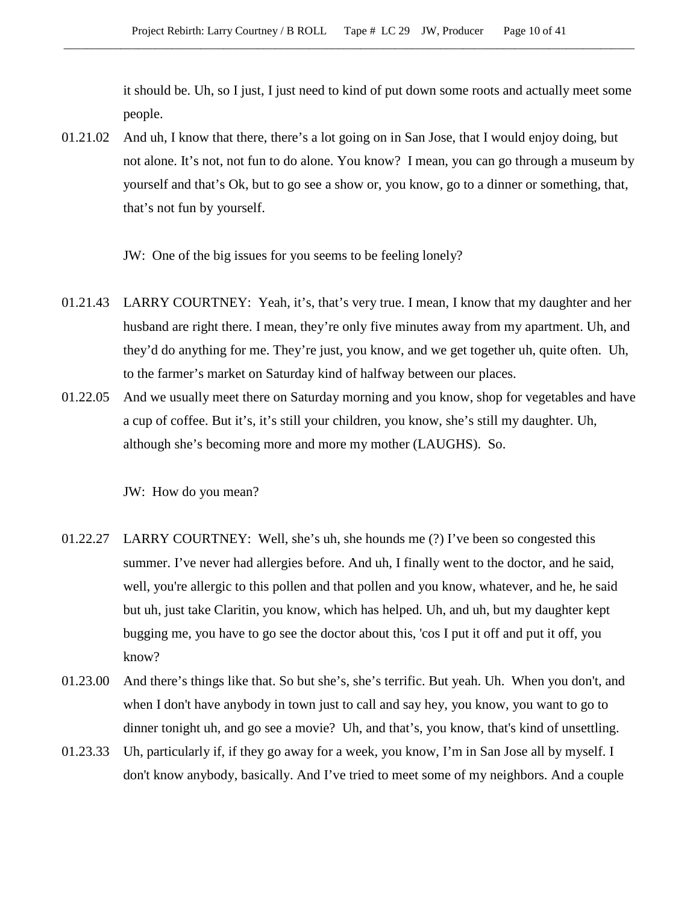it should be. Uh, so I just, I just need to kind of put down some roots and actually meet some people.

01.21.02 And uh, I know that there, there's a lot going on in San Jose, that I would enjoy doing, but not alone. It's not, not fun to do alone. You know? I mean, you can go through a museum by yourself and that's Ok, but to go see a show or, you know, go to a dinner or something, that, that's not fun by yourself.

JW: One of the big issues for you seems to be feeling lonely?

- 01.21.43 LARRY COURTNEY: Yeah, it's, that's very true. I mean, I know that my daughter and her husband are right there. I mean, they're only five minutes away from my apartment. Uh, and they'd do anything for me. They're just, you know, and we get together uh, quite often. Uh, to the farmer's market on Saturday kind of halfway between our places.
- 01.22.05 And we usually meet there on Saturday morning and you know, shop for vegetables and have a cup of coffee. But it's, it's still your children, you know, she's still my daughter. Uh, although she's becoming more and more my mother (LAUGHS). So.

JW: How do you mean?

- 01.22.27 LARRY COURTNEY: Well, she's uh, she hounds me (?) I've been so congested this summer. I've never had allergies before. And uh, I finally went to the doctor, and he said, well, you're allergic to this pollen and that pollen and you know, whatever, and he, he said but uh, just take Claritin, you know, which has helped. Uh, and uh, but my daughter kept bugging me, you have to go see the doctor about this, 'cos I put it off and put it off, you know?
- 01.23.00 And there's things like that. So but she's, she's terrific. But yeah. Uh. When you don't, and when I don't have anybody in town just to call and say hey, you know, you want to go to dinner tonight uh, and go see a movie? Uh, and that's, you know, that's kind of unsettling.
- 01.23.33 Uh, particularly if, if they go away for a week, you know, I'm in San Jose all by myself. I don't know anybody, basically. And I've tried to meet some of my neighbors. And a couple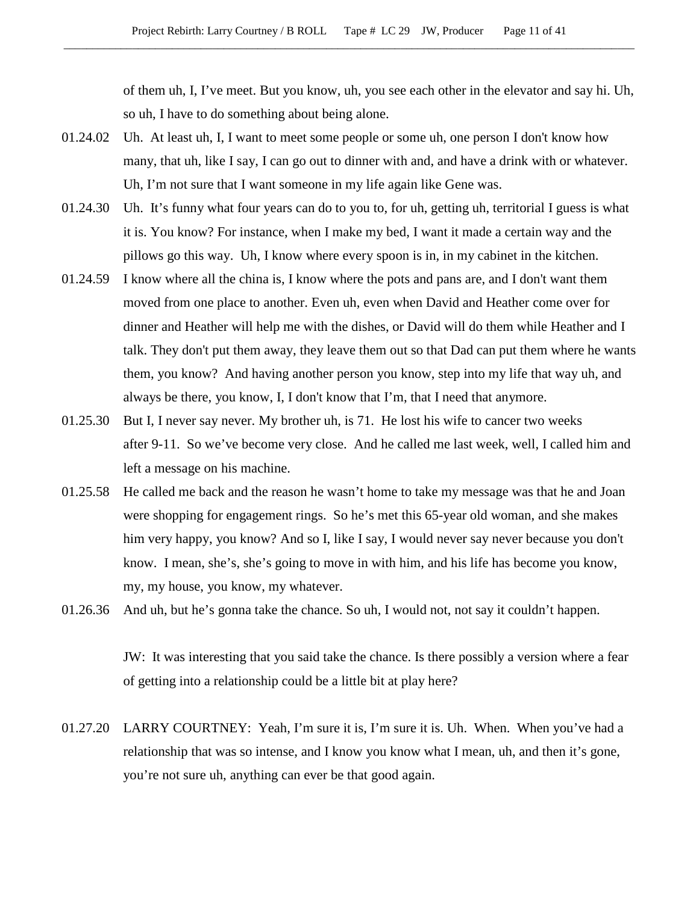of them uh, I, I've meet. But you know, uh, you see each other in the elevator and say hi. Uh, so uh, I have to do something about being alone.

- 01.24.02 Uh. At least uh, I, I want to meet some people or some uh, one person I don't know how many, that uh, like I say, I can go out to dinner with and, and have a drink with or whatever. Uh, I'm not sure that I want someone in my life again like Gene was.
- 01.24.30 Uh. It's funny what four years can do to you to, for uh, getting uh, territorial I guess is what it is. You know? For instance, when I make my bed, I want it made a certain way and the pillows go this way. Uh, I know where every spoon is in, in my cabinet in the kitchen.
- 01.24.59 I know where all the china is, I know where the pots and pans are, and I don't want them moved from one place to another. Even uh, even when David and Heather come over for dinner and Heather will help me with the dishes, or David will do them while Heather and I talk. They don't put them away, they leave them out so that Dad can put them where he wants them, you know? And having another person you know, step into my life that way uh, and always be there, you know, I, I don't know that I'm, that I need that anymore.
- 01.25.30 But I, I never say never. My brother uh, is 71. He lost his wife to cancer two weeks after 9-11. So we've become very close. And he called me last week, well, I called him and left a message on his machine.
- 01.25.58 He called me back and the reason he wasn't home to take my message was that he and Joan were shopping for engagement rings. So he's met this 65-year old woman, and she makes him very happy, you know? And so I, like I say, I would never say never because you don't know. I mean, she's, she's going to move in with him, and his life has become you know, my, my house, you know, my whatever.
- 01.26.36 And uh, but he's gonna take the chance. So uh, I would not, not say it couldn't happen.

JW: It was interesting that you said take the chance. Is there possibly a version where a fear of getting into a relationship could be a little bit at play here?

01.27.20 LARRY COURTNEY: Yeah, I'm sure it is, I'm sure it is. Uh. When. When you've had a relationship that was so intense, and I know you know what I mean, uh, and then it's gone, you're not sure uh, anything can ever be that good again.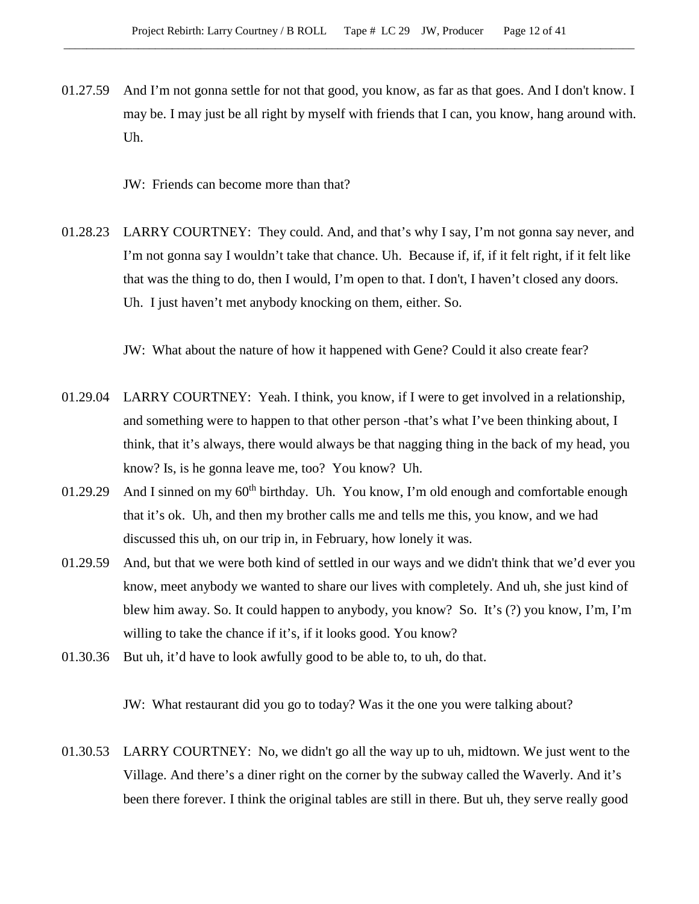01.27.59 And I'm not gonna settle for not that good, you know, as far as that goes. And I don't know. I may be. I may just be all right by myself with friends that I can, you know, hang around with. Uh.

JW: Friends can become more than that?

01.28.23 LARRY COURTNEY: They could. And, and that's why I say, I'm not gonna say never, and I'm not gonna say I wouldn't take that chance. Uh. Because if, if, if it felt right, if it felt like that was the thing to do, then I would, I'm open to that. I don't, I haven't closed any doors. Uh. I just haven't met anybody knocking on them, either. So.

JW: What about the nature of how it happened with Gene? Could it also create fear?

- 01.29.04 LARRY COURTNEY: Yeah. I think, you know, if I were to get involved in a relationship, and something were to happen to that other person -that's what I've been thinking about, I think, that it's always, there would always be that nagging thing in the back of my head, you know? Is, is he gonna leave me, too? You know? Uh.
- 01.29.29 And I sinned on my  $60<sup>th</sup>$  birthday. Uh. You know, I'm old enough and comfortable enough that it's ok. Uh, and then my brother calls me and tells me this, you know, and we had discussed this uh, on our trip in, in February, how lonely it was.
- 01.29.59 And, but that we were both kind of settled in our ways and we didn't think that we'd ever you know, meet anybody we wanted to share our lives with completely. And uh, she just kind of blew him away. So. It could happen to anybody, you know? So. It's (?) you know, I'm, I'm willing to take the chance if it's, if it looks good. You know?
- 01.30.36 But uh, it'd have to look awfully good to be able to, to uh, do that.

JW: What restaurant did you go to today? Was it the one you were talking about?

01.30.53 LARRY COURTNEY: No, we didn't go all the way up to uh, midtown. We just went to the Village. And there's a diner right on the corner by the subway called the Waverly. And it's been there forever. I think the original tables are still in there. But uh, they serve really good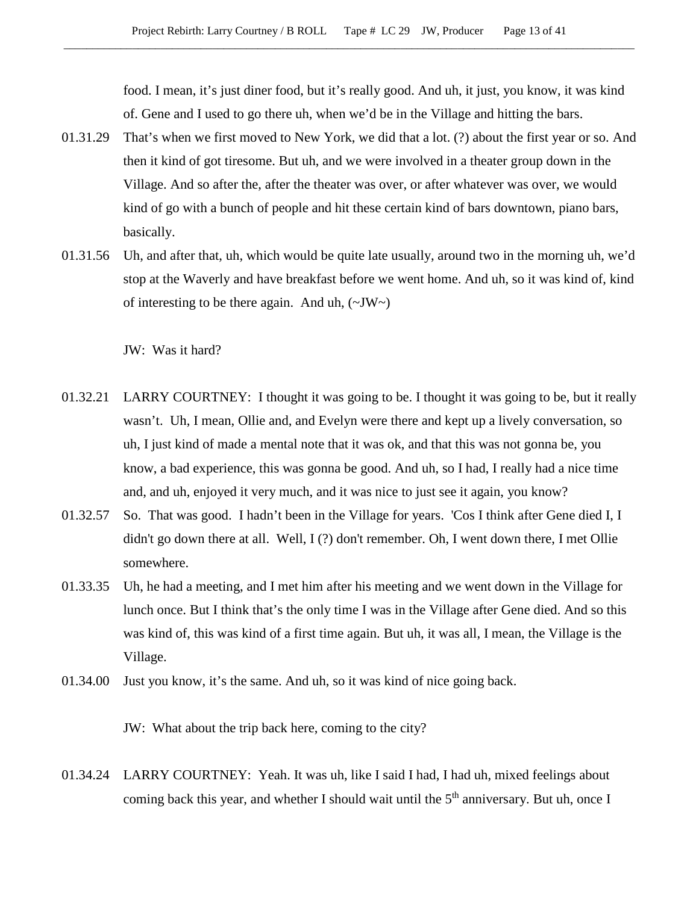food. I mean, it's just diner food, but it's really good. And uh, it just, you know, it was kind of. Gene and I used to go there uh, when we'd be in the Village and hitting the bars.

- 01.31.29 That's when we first moved to New York, we did that a lot. (?) about the first year or so. And then it kind of got tiresome. But uh, and we were involved in a theater group down in the Village. And so after the, after the theater was over, or after whatever was over, we would kind of go with a bunch of people and hit these certain kind of bars downtown, piano bars, basically.
- 01.31.56 Uh, and after that, uh, which would be quite late usually, around two in the morning uh, we'd stop at the Waverly and have breakfast before we went home. And uh, so it was kind of, kind of interesting to be there again. And uh,  $(\sim JW)$

JW: Was it hard?

- 01.32.21 LARRY COURTNEY: I thought it was going to be. I thought it was going to be, but it really wasn't. Uh, I mean, Ollie and, and Evelyn were there and kept up a lively conversation, so uh, I just kind of made a mental note that it was ok, and that this was not gonna be, you know, a bad experience, this was gonna be good. And uh, so I had, I really had a nice time and, and uh, enjoyed it very much, and it was nice to just see it again, you know?
- 01.32.57 So. That was good. I hadn't been in the Village for years. 'Cos I think after Gene died I, I didn't go down there at all. Well, I (?) don't remember. Oh, I went down there, I met Ollie somewhere.
- 01.33.35 Uh, he had a meeting, and I met him after his meeting and we went down in the Village for lunch once. But I think that's the only time I was in the Village after Gene died. And so this was kind of, this was kind of a first time again. But uh, it was all, I mean, the Village is the Village.
- 01.34.00 Just you know, it's the same. And uh, so it was kind of nice going back.

JW: What about the trip back here, coming to the city?

01.34.24 LARRY COURTNEY: Yeah. It was uh, like I said I had, I had uh, mixed feelings about coming back this year, and whether I should wait until the  $5<sup>th</sup>$  anniversary. But uh, once I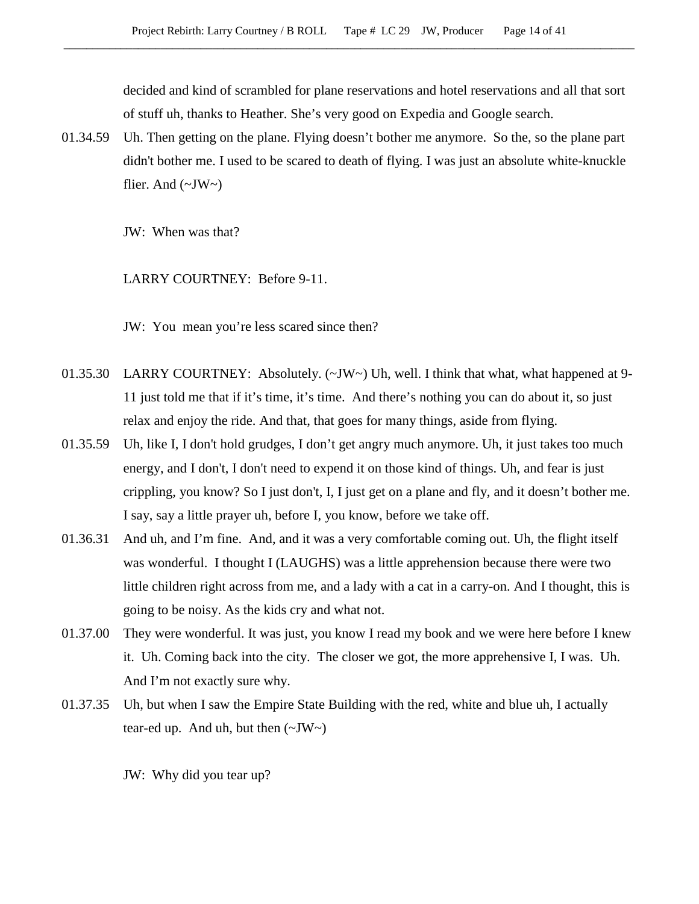decided and kind of scrambled for plane reservations and hotel reservations and all that sort of stuff uh, thanks to Heather. She's very good on Expedia and Google search.

01.34.59 Uh. Then getting on the plane. Flying doesn't bother me anymore. So the, so the plane part didn't bother me. I used to be scared to death of flying. I was just an absolute white-knuckle flier. And  $(\sim JW \sim)$ 

JW: When was that?

LARRY COURTNEY: Before 9-11.

JW: You mean you're less scared since then?

- 01.35.30 LARRY COURTNEY: Absolutely. (~JW~) Uh, well. I think that what, what happened at 9-11 just told me that if it's time, it's time. And there's nothing you can do about it, so just relax and enjoy the ride. And that, that goes for many things, aside from flying.
- 01.35.59 Uh, like I, I don't hold grudges, I don't get angry much anymore. Uh, it just takes too much energy, and I don't, I don't need to expend it on those kind of things. Uh, and fear is just crippling, you know? So I just don't, I, I just get on a plane and fly, and it doesn't bother me. I say, say a little prayer uh, before I, you know, before we take off.
- 01.36.31 And uh, and I'm fine. And, and it was a very comfortable coming out. Uh, the flight itself was wonderful. I thought I (LAUGHS) was a little apprehension because there were two little children right across from me, and a lady with a cat in a carry-on. And I thought, this is going to be noisy. As the kids cry and what not.
- 01.37.00 They were wonderful. It was just, you know I read my book and we were here before I knew it. Uh. Coming back into the city. The closer we got, the more apprehensive I, I was. Uh. And I'm not exactly sure why.
- 01.37.35 Uh, but when I saw the Empire State Building with the red, white and blue uh, I actually tear-ed up. And uh, but then  $(\sim JW \sim)$

JW: Why did you tear up?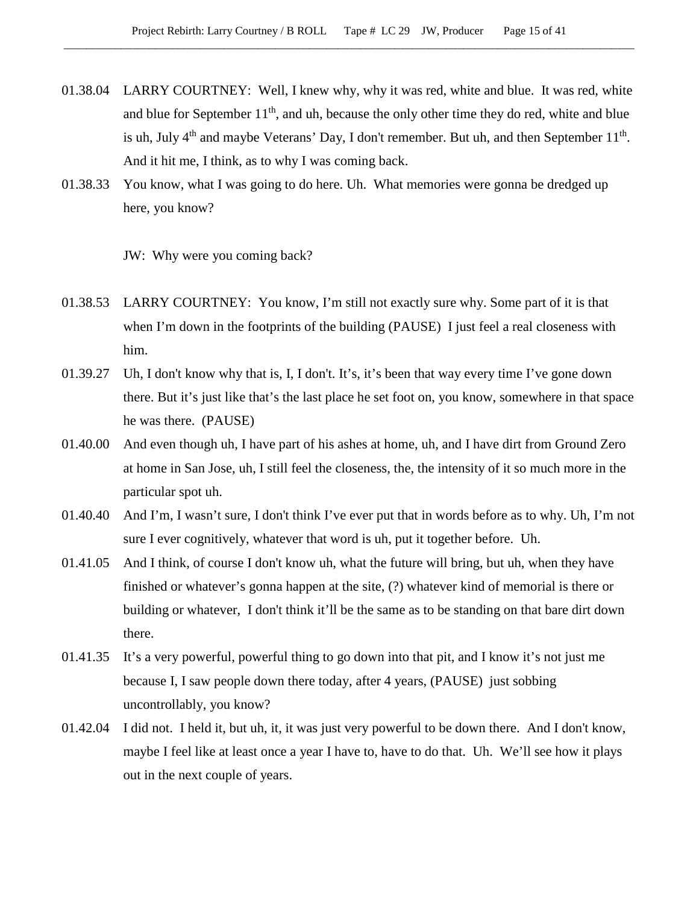- 01.38.04 LARRY COURTNEY: Well, I knew why, why it was red, white and blue. It was red, white and blue for September  $11<sup>th</sup>$ , and uh, because the only other time they do red, white and blue is uh, July  $4<sup>th</sup>$  and maybe Veterans' Day, I don't remember. But uh, and then September  $11<sup>th</sup>$ . And it hit me, I think, as to why I was coming back.
- 01.38.33 You know, what I was going to do here. Uh. What memories were gonna be dredged up here, you know?

JW: Why were you coming back?

- 01.38.53 LARRY COURTNEY: You know, I'm still not exactly sure why. Some part of it is that when I'm down in the footprints of the building (PAUSE) I just feel a real closeness with him.
- 01.39.27 Uh, I don't know why that is, I, I don't. It's, it's been that way every time I've gone down there. But it's just like that's the last place he set foot on, you know, somewhere in that space he was there. (PAUSE)
- 01.40.00 And even though uh, I have part of his ashes at home, uh, and I have dirt from Ground Zero at home in San Jose, uh, I still feel the closeness, the, the intensity of it so much more in the particular spot uh.
- 01.40.40 And I'm, I wasn't sure, I don't think I've ever put that in words before as to why. Uh, I'm not sure I ever cognitively, whatever that word is uh, put it together before. Uh.
- 01.41.05 And I think, of course I don't know uh, what the future will bring, but uh, when they have finished or whatever's gonna happen at the site, (?) whatever kind of memorial is there or building or whatever, I don't think it'll be the same as to be standing on that bare dirt down there.
- 01.41.35 It's a very powerful, powerful thing to go down into that pit, and I know it's not just me because I, I saw people down there today, after 4 years, (PAUSE) just sobbing uncontrollably, you know?
- 01.42.04 I did not. I held it, but uh, it, it was just very powerful to be down there. And I don't know, maybe I feel like at least once a year I have to, have to do that. Uh. We'll see how it plays out in the next couple of years.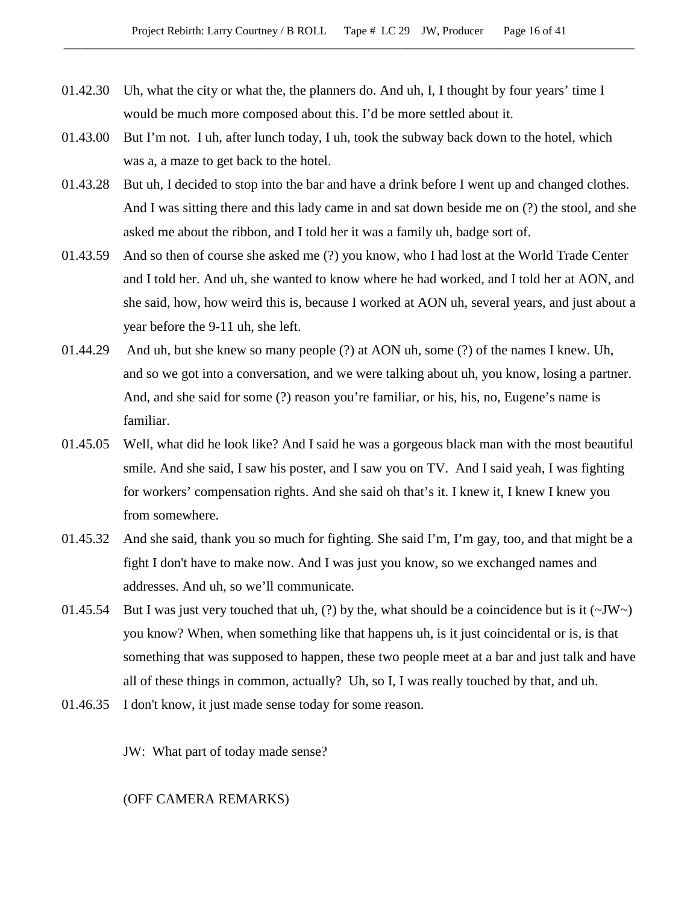- 01.42.30 Uh, what the city or what the, the planners do. And uh, I, I thought by four years' time I would be much more composed about this. I'd be more settled about it.
- 01.43.00 But I'm not. I uh, after lunch today, I uh, took the subway back down to the hotel, which was a, a maze to get back to the hotel.
- 01.43.28 But uh, I decided to stop into the bar and have a drink before I went up and changed clothes. And I was sitting there and this lady came in and sat down beside me on (?) the stool, and she asked me about the ribbon, and I told her it was a family uh, badge sort of.
- 01.43.59 And so then of course she asked me (?) you know, who I had lost at the World Trade Center and I told her. And uh, she wanted to know where he had worked, and I told her at AON, and she said, how, how weird this is, because I worked at AON uh, several years, and just about a year before the 9-11 uh, she left.
- 01.44.29 And uh, but she knew so many people (?) at AON uh, some (?) of the names I knew. Uh, and so we got into a conversation, and we were talking about uh, you know, losing a partner. And, and she said for some (?) reason you're familiar, or his, his, no, Eugene's name is familiar.
- 01.45.05 Well, what did he look like? And I said he was a gorgeous black man with the most beautiful smile. And she said, I saw his poster, and I saw you on TV. And I said yeah, I was fighting for workers' compensation rights. And she said oh that's it. I knew it, I knew I knew you from somewhere.
- 01.45.32 And she said, thank you so much for fighting. She said I'm, I'm gay, too, and that might be a fight I don't have to make now. And I was just you know, so we exchanged names and addresses. And uh, so we'll communicate.
- 01.45.54 But I was just very touched that uh, (?) by the, what should be a coincidence but is it  $(\sim JW)$ you know? When, when something like that happens uh, is it just coincidental or is, is that something that was supposed to happen, these two people meet at a bar and just talk and have all of these things in common, actually? Uh, so I, I was really touched by that, and uh.
- 01.46.35 I don't know, it just made sense today for some reason.

JW: What part of today made sense?

(OFF CAMERA REMARKS)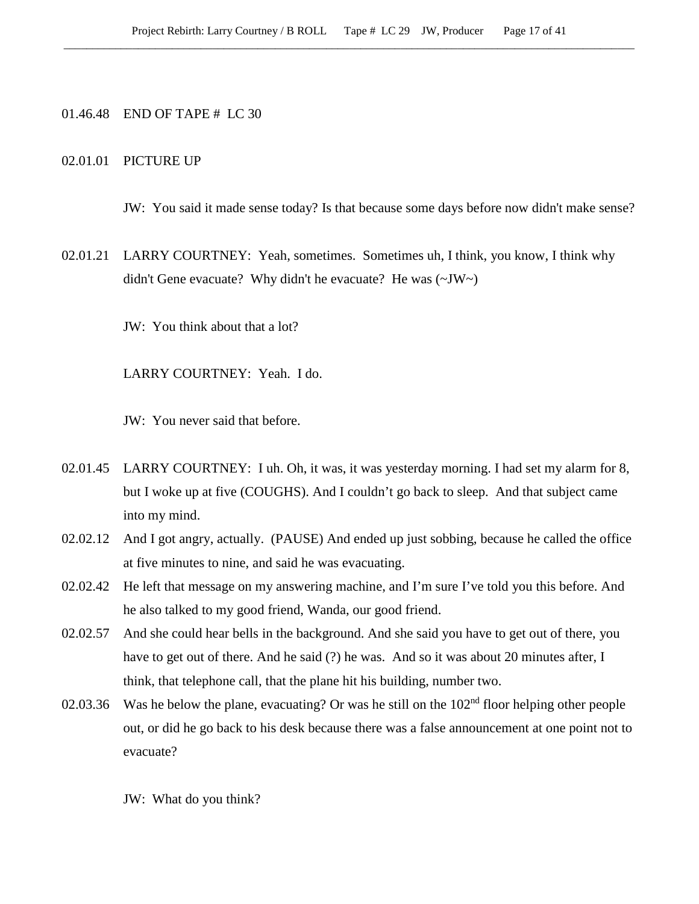# 01.46.48 END OF TAPE # LC 30

#### 02.01.01 PICTURE UP

JW: You said it made sense today? Is that because some days before now didn't make sense?

02.01.21 LARRY COURTNEY: Yeah, sometimes. Sometimes uh, I think, you know, I think why didn't Gene evacuate? Why didn't he evacuate? He was (~JW~)

JW: You think about that a lot?

LARRY COURTNEY: Yeah. I do.

JW: You never said that before.

- 02.01.45 LARRY COURTNEY: I uh. Oh, it was, it was yesterday morning. I had set my alarm for 8, but I woke up at five (COUGHS). And I couldn't go back to sleep. And that subject came into my mind.
- 02.02.12 And I got angry, actually. (PAUSE) And ended up just sobbing, because he called the office at five minutes to nine, and said he was evacuating.
- 02.02.42 He left that message on my answering machine, and I'm sure I've told you this before. And he also talked to my good friend, Wanda, our good friend.
- 02.02.57 And she could hear bells in the background. And she said you have to get out of there, you have to get out of there. And he said (?) he was. And so it was about 20 minutes after, I think, that telephone call, that the plane hit his building, number two.
- 02.03.36 Was he below the plane, evacuating? Or was he still on the  $102<sup>nd</sup>$  floor helping other people out, or did he go back to his desk because there was a false announcement at one point not to evacuate?

JW: What do you think?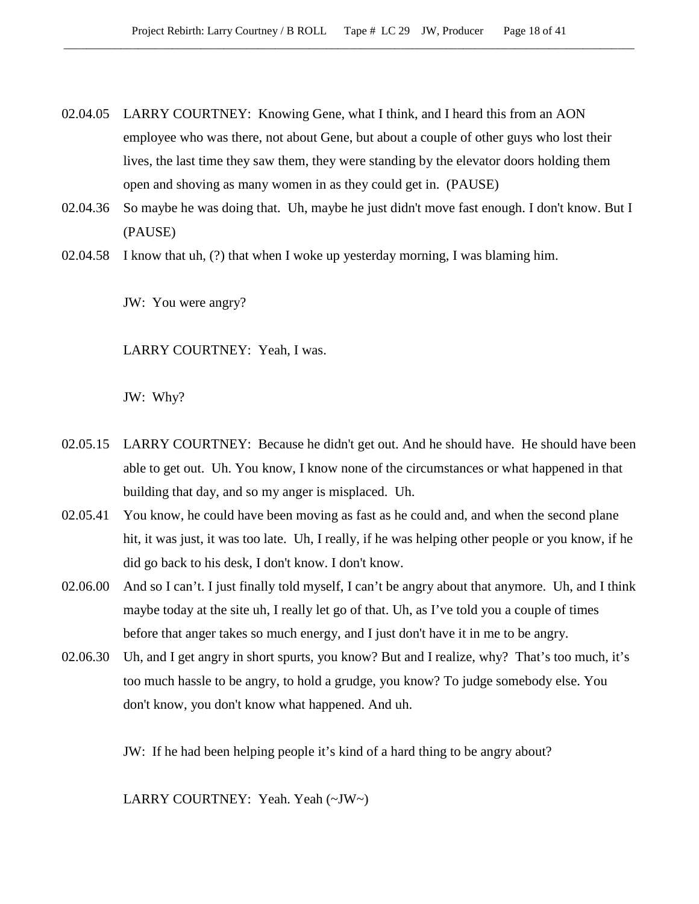- 02.04.05 LARRY COURTNEY: Knowing Gene, what I think, and I heard this from an AON employee who was there, not about Gene, but about a couple of other guys who lost their lives, the last time they saw them, they were standing by the elevator doors holding them open and shoving as many women in as they could get in. (PAUSE)
- 02.04.36 So maybe he was doing that. Uh, maybe he just didn't move fast enough. I don't know. But I (PAUSE)
- 02.04.58 I know that uh, (?) that when I woke up yesterday morning, I was blaming him.

JW: You were angry?

LARRY COURTNEY: Yeah, I was.

JW: Why?

- 02.05.15 LARRY COURTNEY: Because he didn't get out. And he should have. He should have been able to get out. Uh. You know, I know none of the circumstances or what happened in that building that day, and so my anger is misplaced. Uh.
- 02.05.41 You know, he could have been moving as fast as he could and, and when the second plane hit, it was just, it was too late. Uh, I really, if he was helping other people or you know, if he did go back to his desk, I don't know. I don't know.
- 02.06.00 And so I can't. I just finally told myself, I can't be angry about that anymore. Uh, and I think maybe today at the site uh, I really let go of that. Uh, as I've told you a couple of times before that anger takes so much energy, and I just don't have it in me to be angry.
- 02.06.30 Uh, and I get angry in short spurts, you know? But and I realize, why? That's too much, it's too much hassle to be angry, to hold a grudge, you know? To judge somebody else. You don't know, you don't know what happened. And uh.

JW: If he had been helping people it's kind of a hard thing to be angry about?

LARRY COURTNEY: Yeah. Yeah (~JW~)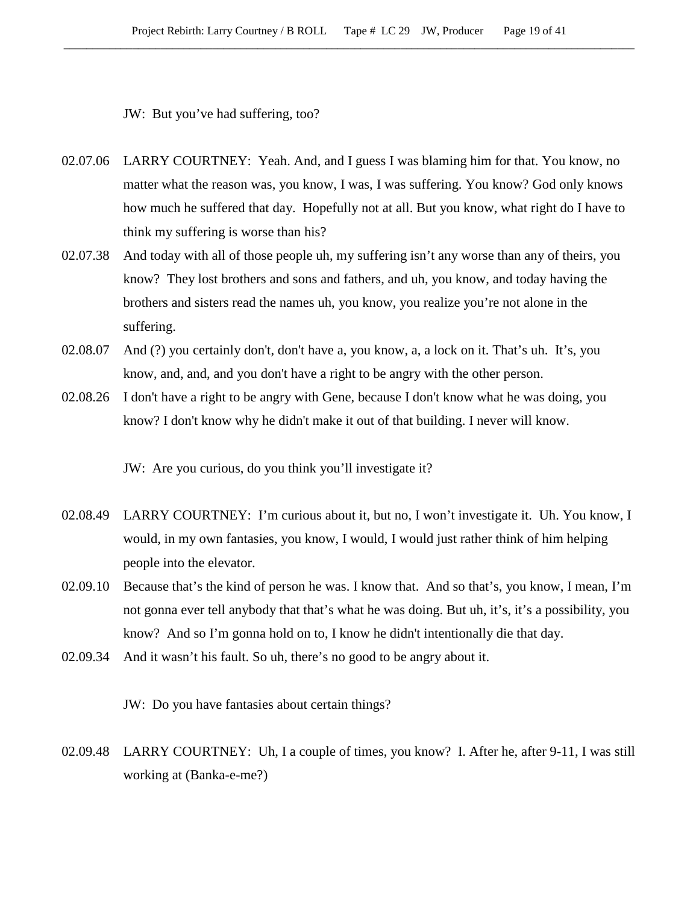JW: But you've had suffering, too?

- 02.07.06 LARRY COURTNEY: Yeah. And, and I guess I was blaming him for that. You know, no matter what the reason was, you know, I was, I was suffering. You know? God only knows how much he suffered that day. Hopefully not at all. But you know, what right do I have to think my suffering is worse than his?
- 02.07.38 And today with all of those people uh, my suffering isn't any worse than any of theirs, you know? They lost brothers and sons and fathers, and uh, you know, and today having the brothers and sisters read the names uh, you know, you realize you're not alone in the suffering.
- 02.08.07 And (?) you certainly don't, don't have a, you know, a, a lock on it. That's uh. It's, you know, and, and, and you don't have a right to be angry with the other person.
- 02.08.26 I don't have a right to be angry with Gene, because I don't know what he was doing, you know? I don't know why he didn't make it out of that building. I never will know.

JW: Are you curious, do you think you'll investigate it?

- 02.08.49 LARRY COURTNEY: I'm curious about it, but no, I won't investigate it. Uh. You know, I would, in my own fantasies, you know, I would, I would just rather think of him helping people into the elevator.
- 02.09.10 Because that's the kind of person he was. I know that. And so that's, you know, I mean, I'm not gonna ever tell anybody that that's what he was doing. But uh, it's, it's a possibility, you know? And so I'm gonna hold on to, I know he didn't intentionally die that day.
- 02.09.34 And it wasn't his fault. So uh, there's no good to be angry about it.

JW: Do you have fantasies about certain things?

02.09.48 LARRY COURTNEY: Uh, I a couple of times, you know? I. After he, after 9-11, I was still working at (Banka-e-me?)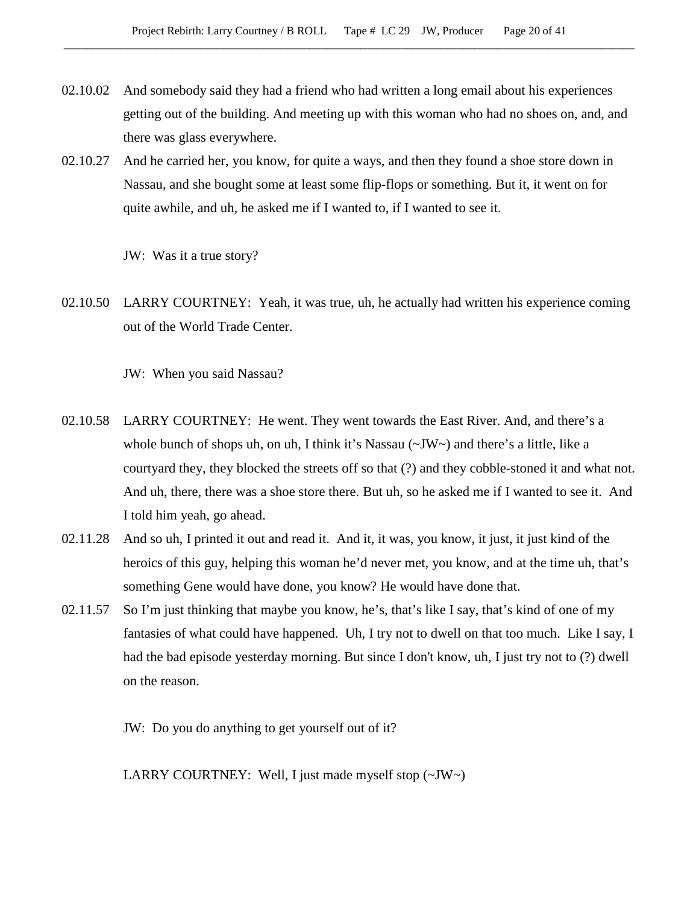- 02.10.02 And somebody said they had a friend who had written a long email about his experiences getting out of the building. And meeting up with this woman who had no shoes on, and, and there was glass everywhere.
- 02.10.27 And he carried her, you know, for quite a ways, and then they found a shoe store down in Nassau, and she bought some at least some flip-flops or something. But it, it went on for quite awhile, and uh, he asked me if I wanted to, if I wanted to see it.

JW: Was it a true story?

02.10.50 LARRY COURTNEY: Yeah, it was true, uh, he actually had written his experience coming out of the World Trade Center.

JW: When you said Nassau?

- 02.10.58 LARRY COURTNEY: He went. They went towards the East River. And, and there's a whole bunch of shops uh, on uh, I think it's Nassau  $\sim$ JW $\sim$ ) and there's a little, like a courtyard they, they blocked the streets off so that (?) and they cobble-stoned it and what not. And uh, there, there was a shoe store there. But uh, so he asked me if I wanted to see it. And I told him yeah, go ahead.
- 02.11.28 And so uh, I printed it out and read it. And it, it was, you know, it just, it just kind of the heroics of this guy, helping this woman he'd never met, you know, and at the time uh, that's something Gene would have done, you know? He would have done that.
- 02.11.57 So I'm just thinking that maybe you know, he's, that's like I say, that's kind of one of my fantasies of what could have happened. Uh, I try not to dwell on that too much. Like I say, I had the bad episode yesterday morning. But since I don't know, uh, I just try not to (?) dwell on the reason.

JW: Do you do anything to get yourself out of it?

LARRY COURTNEY: Well, I just made myself stop (~JW~)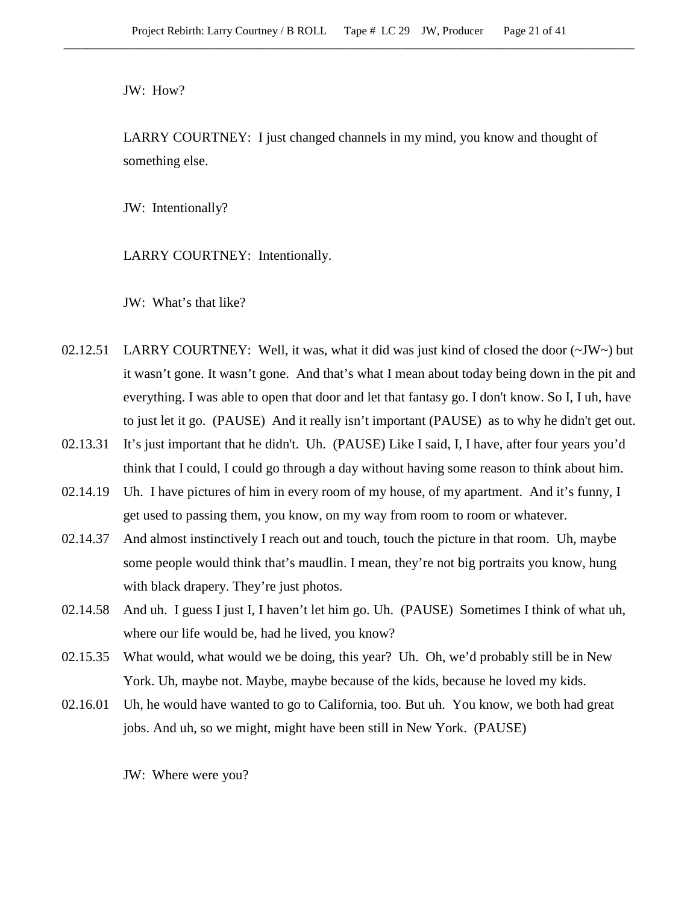JW: How?

LARRY COURTNEY: I just changed channels in my mind, you know and thought of something else.

JW: Intentionally?

LARRY COURTNEY: Intentionally.

JW: What's that like?

- 02.12.51 LARRY COURTNEY: Well, it was, what it did was just kind of closed the door  $(\sim JW \sim)$  but it wasn't gone. It wasn't gone. And that's what I mean about today being down in the pit and everything. I was able to open that door and let that fantasy go. I don't know. So I, I uh, have to just let it go. (PAUSE) And it really isn't important (PAUSE) as to why he didn't get out.
- 02.13.31 It's just important that he didn't. Uh. (PAUSE) Like I said, I, I have, after four years you'd think that I could, I could go through a day without having some reason to think about him.
- 02.14.19 Uh. I have pictures of him in every room of my house, of my apartment. And it's funny, I get used to passing them, you know, on my way from room to room or whatever.
- 02.14.37 And almost instinctively I reach out and touch, touch the picture in that room. Uh, maybe some people would think that's maudlin. I mean, they're not big portraits you know, hung with black drapery. They're just photos.
- 02.14.58 And uh. I guess I just I, I haven't let him go. Uh. (PAUSE) Sometimes I think of what uh, where our life would be, had he lived, you know?
- 02.15.35 What would, what would we be doing, this year? Uh. Oh, we'd probably still be in New York. Uh, maybe not. Maybe, maybe because of the kids, because he loved my kids.
- 02.16.01 Uh, he would have wanted to go to California, too. But uh. You know, we both had great jobs. And uh, so we might, might have been still in New York. (PAUSE)

JW: Where were you?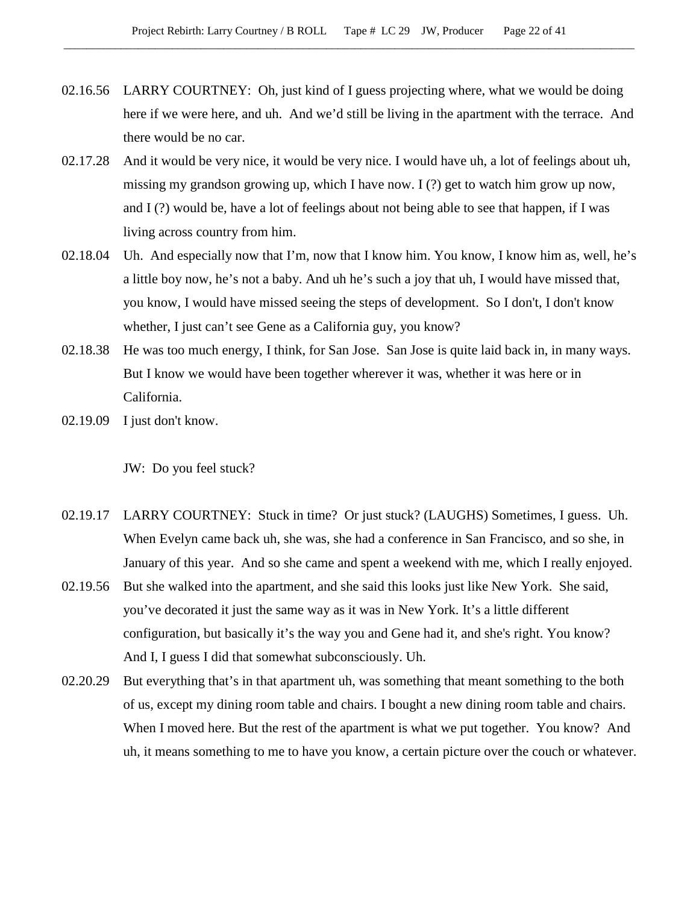- 02.16.56 LARRY COURTNEY: Oh, just kind of I guess projecting where, what we would be doing here if we were here, and uh. And we'd still be living in the apartment with the terrace. And there would be no car.
- 02.17.28 And it would be very nice, it would be very nice. I would have uh, a lot of feelings about uh, missing my grandson growing up, which I have now. I (?) get to watch him grow up now, and  $I(?)$  would be, have a lot of feelings about not being able to see that happen, if I was living across country from him.
- 02.18.04 Uh. And especially now that I'm, now that I know him. You know, I know him as, well, he's a little boy now, he's not a baby. And uh he's such a joy that uh, I would have missed that, you know, I would have missed seeing the steps of development. So I don't, I don't know whether, I just can't see Gene as a California guy, you know?
- 02.18.38 He was too much energy, I think, for San Jose. San Jose is quite laid back in, in many ways. But I know we would have been together wherever it was, whether it was here or in California.
- 02.19.09 I just don't know.

JW: Do you feel stuck?

- 02.19.17 LARRY COURTNEY: Stuck in time? Or just stuck? (LAUGHS) Sometimes, I guess. Uh. When Evelyn came back uh, she was, she had a conference in San Francisco, and so she, in January of this year. And so she came and spent a weekend with me, which I really enjoyed.
- 02.19.56 But she walked into the apartment, and she said this looks just like New York. She said, you've decorated it just the same way as it was in New York. It's a little different configuration, but basically it's the way you and Gene had it, and she's right. You know? And I, I guess I did that somewhat subconsciously. Uh.
- 02.20.29 But everything that's in that apartment uh, was something that meant something to the both of us, except my dining room table and chairs. I bought a new dining room table and chairs. When I moved here. But the rest of the apartment is what we put together. You know? And uh, it means something to me to have you know, a certain picture over the couch or whatever.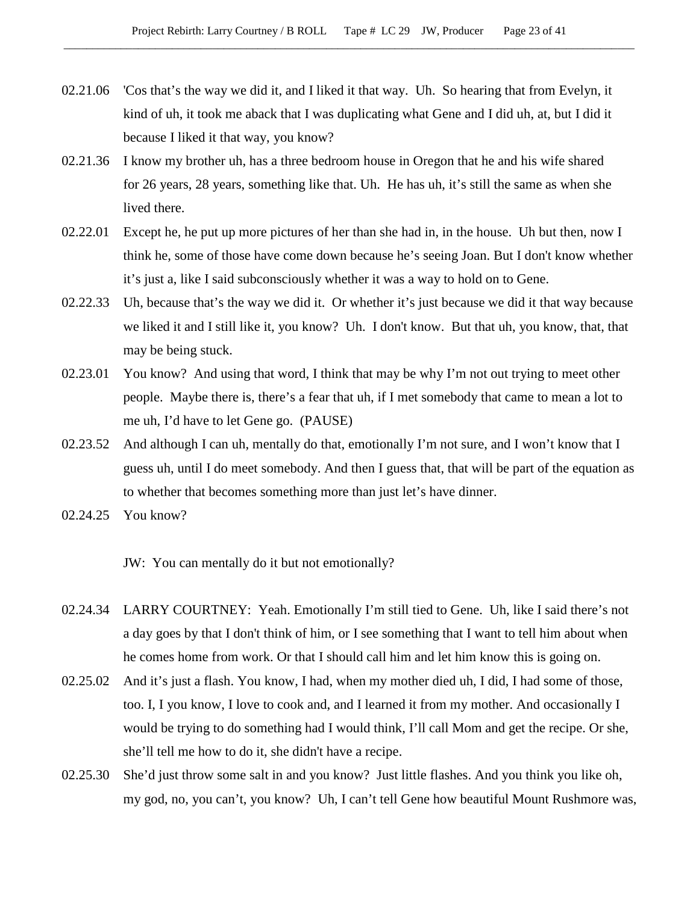- 02.21.06 'Cos that's the way we did it, and I liked it that way. Uh. So hearing that from Evelyn, it kind of uh, it took me aback that I was duplicating what Gene and I did uh, at, but I did it because I liked it that way, you know?
- 02.21.36 I know my brother uh, has a three bedroom house in Oregon that he and his wife shared for 26 years, 28 years, something like that. Uh. He has uh, it's still the same as when she lived there.
- 02.22.01 Except he, he put up more pictures of her than she had in, in the house. Uh but then, now I think he, some of those have come down because he's seeing Joan. But I don't know whether it's just a, like I said subconsciously whether it was a way to hold on to Gene.
- 02.22.33 Uh, because that's the way we did it. Or whether it's just because we did it that way because we liked it and I still like it, you know? Uh. I don't know. But that uh, you know, that, that may be being stuck.
- 02.23.01 You know? And using that word, I think that may be why I'm not out trying to meet other people. Maybe there is, there's a fear that uh, if I met somebody that came to mean a lot to me uh, I'd have to let Gene go. (PAUSE)
- 02.23.52 And although I can uh, mentally do that, emotionally I'm not sure, and I won't know that I guess uh, until I do meet somebody. And then I guess that, that will be part of the equation as to whether that becomes something more than just let's have dinner.
- 02.24.25 You know?

JW: You can mentally do it but not emotionally?

- 02.24.34 LARRY COURTNEY: Yeah. Emotionally I'm still tied to Gene. Uh, like I said there's not a day goes by that I don't think of him, or I see something that I want to tell him about when he comes home from work. Or that I should call him and let him know this is going on.
- 02.25.02 And it's just a flash. You know, I had, when my mother died uh, I did, I had some of those, too. I, I you know, I love to cook and, and I learned it from my mother. And occasionally I would be trying to do something had I would think, I'll call Mom and get the recipe. Or she, she'll tell me how to do it, she didn't have a recipe.
- 02.25.30 She'd just throw some salt in and you know? Just little flashes. And you think you like oh, my god, no, you can't, you know? Uh, I can't tell Gene how beautiful Mount Rushmore was,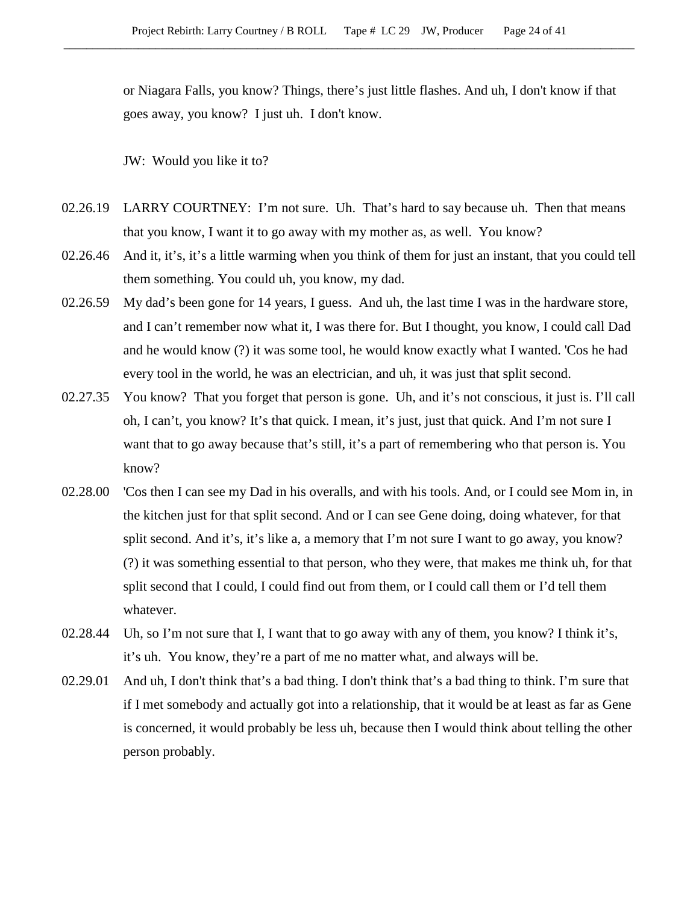or Niagara Falls, you know? Things, there's just little flashes. And uh, I don't know if that goes away, you know? I just uh. I don't know.

JW: Would you like it to?

- 02.26.19 LARRY COURTNEY: I'm not sure. Uh. That's hard to say because uh. Then that means that you know, I want it to go away with my mother as, as well. You know?
- 02.26.46 And it, it's, it's a little warming when you think of them for just an instant, that you could tell them something. You could uh, you know, my dad.
- 02.26.59 My dad's been gone for 14 years, I guess. And uh, the last time I was in the hardware store, and I can't remember now what it, I was there for. But I thought, you know, I could call Dad and he would know (?) it was some tool, he would know exactly what I wanted. 'Cos he had every tool in the world, he was an electrician, and uh, it was just that split second.
- 02.27.35 You know? That you forget that person is gone. Uh, and it's not conscious, it just is. I'll call oh, I can't, you know? It's that quick. I mean, it's just, just that quick. And I'm not sure I want that to go away because that's still, it's a part of remembering who that person is. You know?
- 02.28.00 'Cos then I can see my Dad in his overalls, and with his tools. And, or I could see Mom in, in the kitchen just for that split second. And or I can see Gene doing, doing whatever, for that split second. And it's, it's like a, a memory that I'm not sure I want to go away, you know? (?) it was something essential to that person, who they were, that makes me think uh, for that split second that I could, I could find out from them, or I could call them or I'd tell them whatever.
- 02.28.44 Uh, so I'm not sure that I, I want that to go away with any of them, you know? I think it's, it's uh. You know, they're a part of me no matter what, and always will be.
- 02.29.01 And uh, I don't think that's a bad thing. I don't think that's a bad thing to think. I'm sure that if I met somebody and actually got into a relationship, that it would be at least as far as Gene is concerned, it would probably be less uh, because then I would think about telling the other person probably.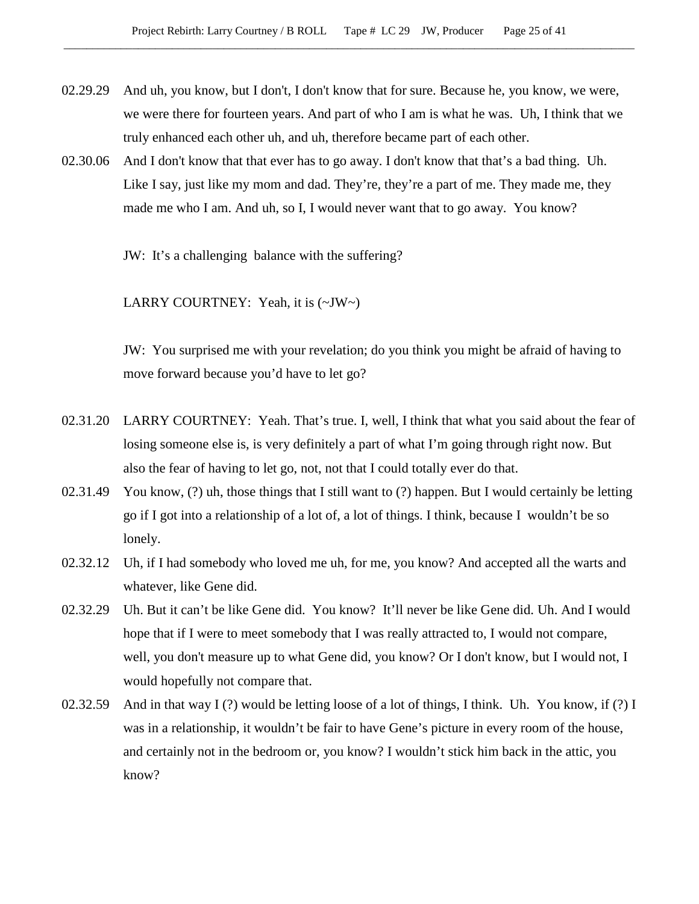- 02.29.29 And uh, you know, but I don't, I don't know that for sure. Because he, you know, we were, we were there for fourteen years. And part of who I am is what he was. Uh, I think that we truly enhanced each other uh, and uh, therefore became part of each other.
- 02.30.06 And I don't know that that ever has to go away. I don't know that that's a bad thing. Uh. Like I say, just like my mom and dad. They're, they're a part of me. They made me, they made me who I am. And uh, so I, I would never want that to go away. You know?

JW: It's a challenging balance with the suffering?

LARRY COURTNEY: Yeah, it is (~JW~)

JW: You surprised me with your revelation; do you think you might be afraid of having to move forward because you'd have to let go?

- 02.31.20 LARRY COURTNEY: Yeah. That's true. I, well, I think that what you said about the fear of losing someone else is, is very definitely a part of what I'm going through right now. But also the fear of having to let go, not, not that I could totally ever do that.
- 02.31.49 You know,  $(?)$  uh, those things that I still want to  $(?)$  happen. But I would certainly be letting go if I got into a relationship of a lot of, a lot of things. I think, because I wouldn't be so lonely.
- 02.32.12 Uh, if I had somebody who loved me uh, for me, you know? And accepted all the warts and whatever, like Gene did.
- 02.32.29 Uh. But it can't be like Gene did. You know? It'll never be like Gene did. Uh. And I would hope that if I were to meet somebody that I was really attracted to, I would not compare, well, you don't measure up to what Gene did, you know? Or I don't know, but I would not, I would hopefully not compare that.
- 02.32.59 And in that way I (?) would be letting loose of a lot of things, I think. Uh. You know, if (?) I was in a relationship, it wouldn't be fair to have Gene's picture in every room of the house, and certainly not in the bedroom or, you know? I wouldn't stick him back in the attic, you know?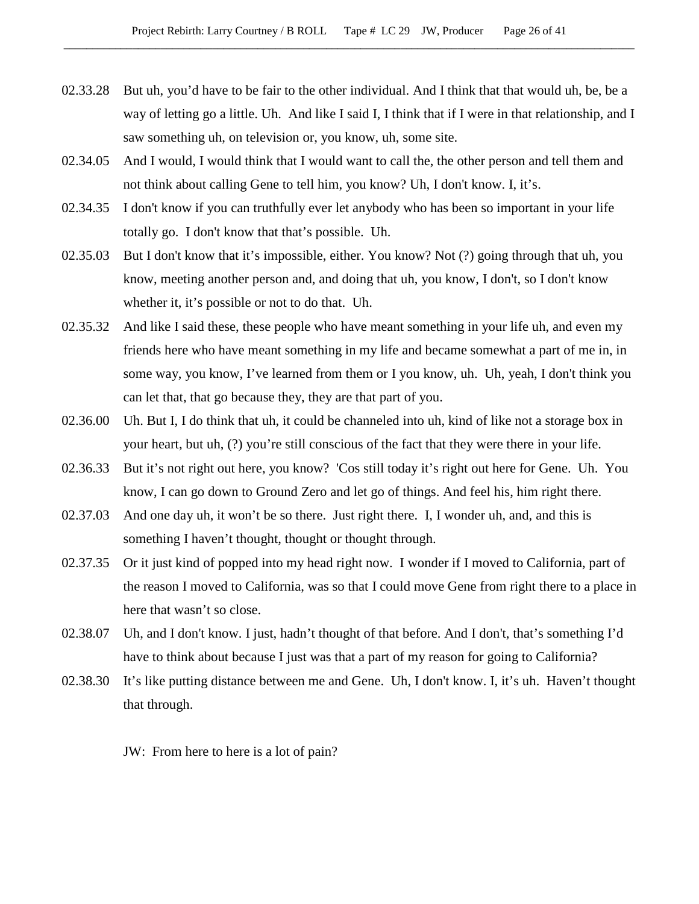- 02.33.28 But uh, you'd have to be fair to the other individual. And I think that that would uh, be, be a way of letting go a little. Uh. And like I said I, I think that if I were in that relationship, and I saw something uh, on television or, you know, uh, some site.
- 02.34.05 And I would, I would think that I would want to call the, the other person and tell them and not think about calling Gene to tell him, you know? Uh, I don't know. I, it's.
- 02.34.35 I don't know if you can truthfully ever let anybody who has been so important in your life totally go. I don't know that that's possible. Uh.
- 02.35.03 But I don't know that it's impossible, either. You know? Not (?) going through that uh, you know, meeting another person and, and doing that uh, you know, I don't, so I don't know whether it, it's possible or not to do that. Uh.
- 02.35.32 And like I said these, these people who have meant something in your life uh, and even my friends here who have meant something in my life and became somewhat a part of me in, in some way, you know, I've learned from them or I you know, uh. Uh, yeah, I don't think you can let that, that go because they, they are that part of you.
- 02.36.00 Uh. But I, I do think that uh, it could be channeled into uh, kind of like not a storage box in your heart, but uh, (?) you're still conscious of the fact that they were there in your life.
- 02.36.33 But it's not right out here, you know? 'Cos still today it's right out here for Gene. Uh. You know, I can go down to Ground Zero and let go of things. And feel his, him right there.
- 02.37.03 And one day uh, it won't be so there. Just right there. I, I wonder uh, and, and this is something I haven't thought, thought or thought through.
- 02.37.35 Or it just kind of popped into my head right now. I wonder if I moved to California, part of the reason I moved to California, was so that I could move Gene from right there to a place in here that wasn't so close.
- 02.38.07 Uh, and I don't know. I just, hadn't thought of that before. And I don't, that's something I'd have to think about because I just was that a part of my reason for going to California?
- 02.38.30 It's like putting distance between me and Gene. Uh, I don't know. I, it's uh. Haven't thought that through.

JW: From here to here is a lot of pain?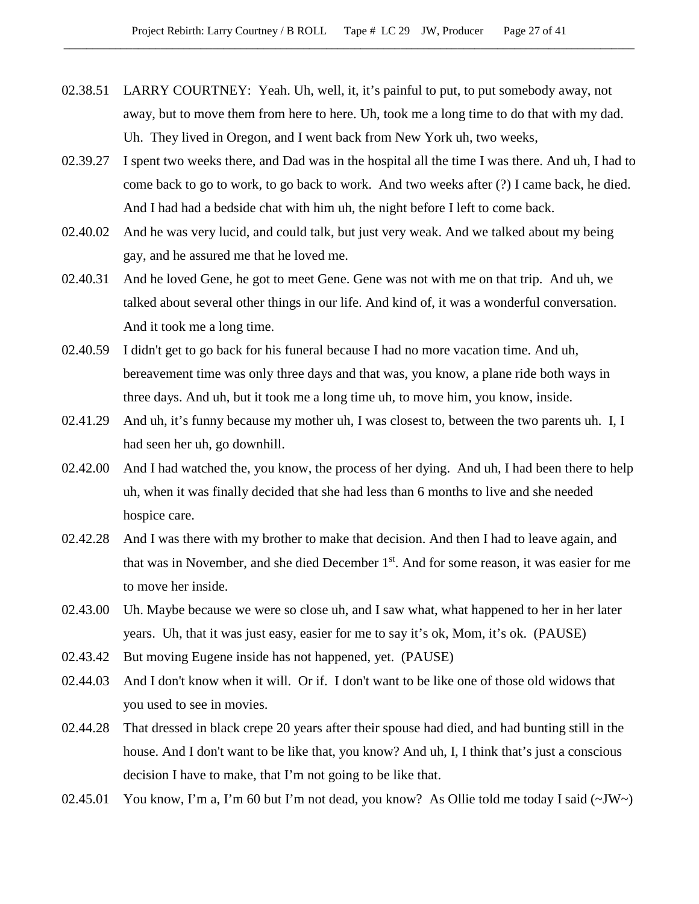- 02.38.51 LARRY COURTNEY: Yeah. Uh, well, it, it's painful to put, to put somebody away, not away, but to move them from here to here. Uh, took me a long time to do that with my dad. Uh. They lived in Oregon, and I went back from New York uh, two weeks,
- 02.39.27 I spent two weeks there, and Dad was in the hospital all the time I was there. And uh, I had to come back to go to work, to go back to work. And two weeks after (?) I came back, he died. And I had had a bedside chat with him uh, the night before I left to come back.
- 02.40.02 And he was very lucid, and could talk, but just very weak. And we talked about my being gay, and he assured me that he loved me.
- 02.40.31 And he loved Gene, he got to meet Gene. Gene was not with me on that trip. And uh, we talked about several other things in our life. And kind of, it was a wonderful conversation. And it took me a long time.
- 02.40.59 I didn't get to go back for his funeral because I had no more vacation time. And uh, bereavement time was only three days and that was, you know, a plane ride both ways in three days. And uh, but it took me a long time uh, to move him, you know, inside.
- 02.41.29 And uh, it's funny because my mother uh, I was closest to, between the two parents uh. I, I had seen her uh, go downhill.
- 02.42.00 And I had watched the, you know, the process of her dying. And uh, I had been there to help uh, when it was finally decided that she had less than 6 months to live and she needed hospice care.
- 02.42.28 And I was there with my brother to make that decision. And then I had to leave again, and that was in November, and she died December 1<sup>st</sup>. And for some reason, it was easier for me to move her inside.
- 02.43.00 Uh. Maybe because we were so close uh, and I saw what, what happened to her in her later years. Uh, that it was just easy, easier for me to say it's ok, Mom, it's ok. (PAUSE)
- 02.43.42 But moving Eugene inside has not happened, yet. (PAUSE)
- 02.44.03 And I don't know when it will. Or if. I don't want to be like one of those old widows that you used to see in movies.
- 02.44.28 That dressed in black crepe 20 years after their spouse had died, and had bunting still in the house. And I don't want to be like that, you know? And uh, I, I think that's just a conscious decision I have to make, that I'm not going to be like that.
- 02.45.01 You know, I'm a, I'm 60 but I'm not dead, you know? As Ollie told me today I said  $(\sim JW)$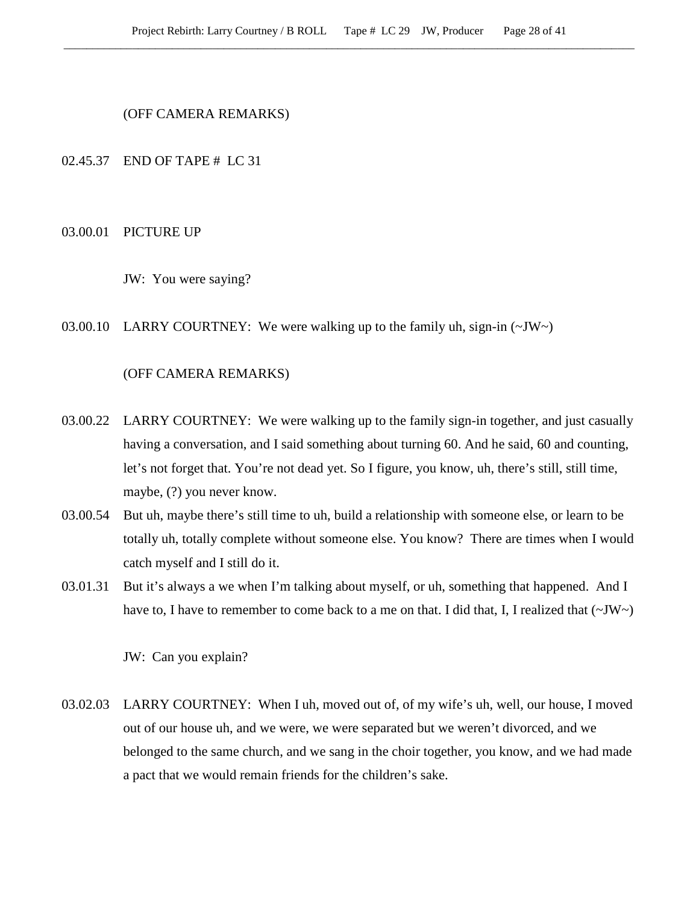(OFF CAMERA REMARKS)

02.45.37 END OF TAPE # LC 31

#### 03.00.01 PICTURE UP

JW: You were saying?

03.00.10 LARRY COURTNEY: We were walking up to the family uh, sign-in  $(\sim JW)$ 

# (OFF CAMERA REMARKS)

- 03.00.22 LARRY COURTNEY: We were walking up to the family sign-in together, and just casually having a conversation, and I said something about turning 60. And he said, 60 and counting, let's not forget that. You're not dead yet. So I figure, you know, uh, there's still, still time, maybe, (?) you never know.
- 03.00.54 But uh, maybe there's still time to uh, build a relationship with someone else, or learn to be totally uh, totally complete without someone else. You know? There are times when I would catch myself and I still do it.
- 03.01.31 But it's always a we when I'm talking about myself, or uh, something that happened. And I have to, I have to remember to come back to a me on that. I did that, I, I realized that  $(\sim JW)$

JW: Can you explain?

03.02.03 LARRY COURTNEY: When I uh, moved out of, of my wife's uh, well, our house, I moved out of our house uh, and we were, we were separated but we weren't divorced, and we belonged to the same church, and we sang in the choir together, you know, and we had made a pact that we would remain friends for the children's sake.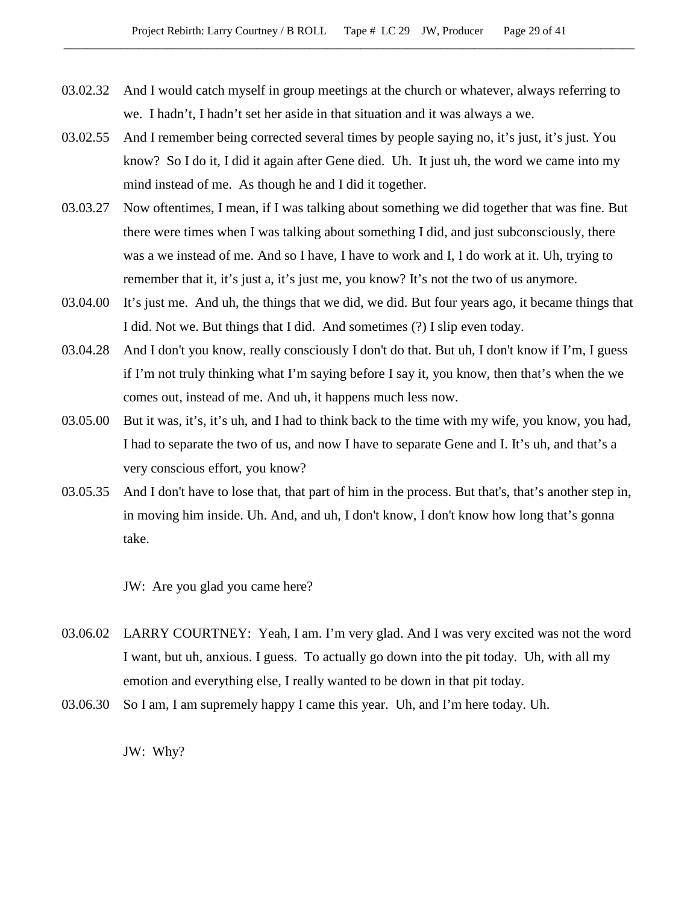- 03.02.32 And I would catch myself in group meetings at the church or whatever, always referring to we. I hadn't, I hadn't set her aside in that situation and it was always a we.
- 03.02.55 And I remember being corrected several times by people saying no, it's just, it's just. You know? So I do it, I did it again after Gene died. Uh. It just uh, the word we came into my mind instead of me. As though he and I did it together.
- 03.03.27 Now oftentimes, I mean, if I was talking about something we did together that was fine. But there were times when I was talking about something I did, and just subconsciously, there was a we instead of me. And so I have, I have to work and I, I do work at it. Uh, trying to remember that it, it's just a, it's just me, you know? It's not the two of us anymore.
- 03.04.00 It's just me. And uh, the things that we did, we did. But four years ago, it became things that I did. Not we. But things that I did. And sometimes (?) I slip even today.
- 03.04.28 And I don't you know, really consciously I don't do that. But uh, I don't know if I'm, I guess if I'm not truly thinking what I'm saying before I say it, you know, then that's when the we comes out, instead of me. And uh, it happens much less now.
- 03.05.00 But it was, it's, it's uh, and I had to think back to the time with my wife, you know, you had, I had to separate the two of us, and now I have to separate Gene and I. It's uh, and that's a very conscious effort, you know?
- 03.05.35 And I don't have to lose that, that part of him in the process. But that's, that's another step in, in moving him inside. Uh. And, and uh, I don't know, I don't know how long that's gonna take.

JW: Are you glad you came here?

- 03.06.02 LARRY COURTNEY: Yeah, I am. I'm very glad. And I was very excited was not the word I want, but uh, anxious. I guess. To actually go down into the pit today. Uh, with all my emotion and everything else, I really wanted to be down in that pit today.
- 03.06.30 So I am, I am supremely happy I came this year. Uh, and I'm here today. Uh.

JW: Why?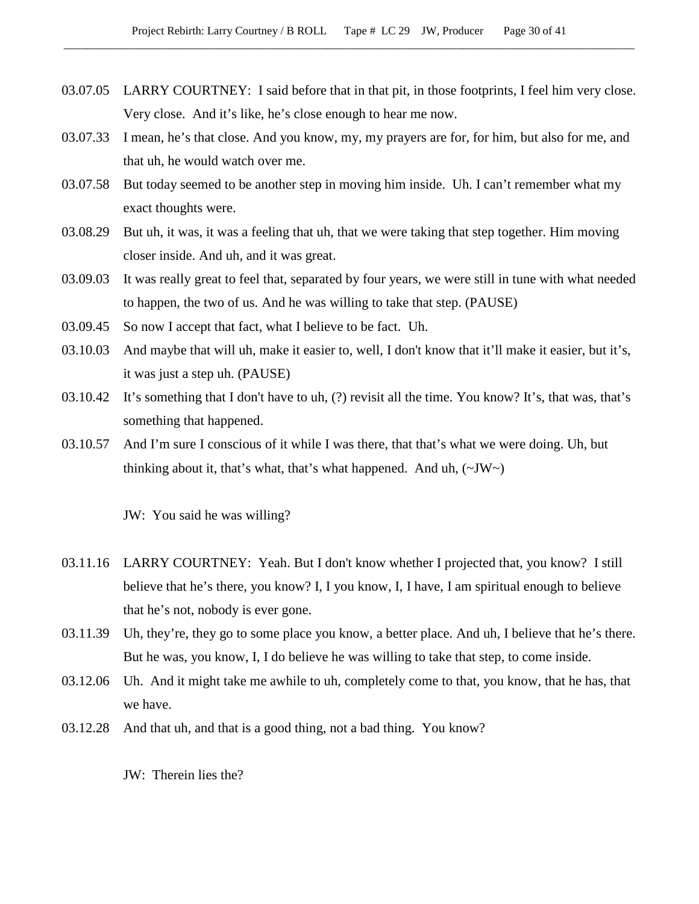- 03.07.05 LARRY COURTNEY: I said before that in that pit, in those footprints, I feel him very close. Very close. And it's like, he's close enough to hear me now.
- 03.07.33 I mean, he's that close. And you know, my, my prayers are for, for him, but also for me, and that uh, he would watch over me.
- 03.07.58 But today seemed to be another step in moving him inside. Uh. I can't remember what my exact thoughts were.
- 03.08.29 But uh, it was, it was a feeling that uh, that we were taking that step together. Him moving closer inside. And uh, and it was great.
- 03.09.03 It was really great to feel that, separated by four years, we were still in tune with what needed to happen, the two of us. And he was willing to take that step. (PAUSE)
- 03.09.45 So now I accept that fact, what I believe to be fact. Uh.
- 03.10.03 And maybe that will uh, make it easier to, well, I don't know that it'll make it easier, but it's, it was just a step uh. (PAUSE)
- 03.10.42 It's something that I don't have to uh, (?) revisit all the time. You know? It's, that was, that's something that happened.
- 03.10.57 And I'm sure I conscious of it while I was there, that that's what we were doing. Uh, but thinking about it, that's what, that's what happened. And uh,  $(\sim JW)$

JW: You said he was willing?

- 03.11.16 LARRY COURTNEY: Yeah. But I don't know whether I projected that, you know? I still believe that he's there, you know? I, I you know, I, I have, I am spiritual enough to believe that he's not, nobody is ever gone.
- 03.11.39 Uh, they're, they go to some place you know, a better place. And uh, I believe that he's there. But he was, you know, I, I do believe he was willing to take that step, to come inside.
- 03.12.06 Uh. And it might take me awhile to uh, completely come to that, you know, that he has, that we have.
- 03.12.28 And that uh, and that is a good thing, not a bad thing. You know?

JW: Therein lies the?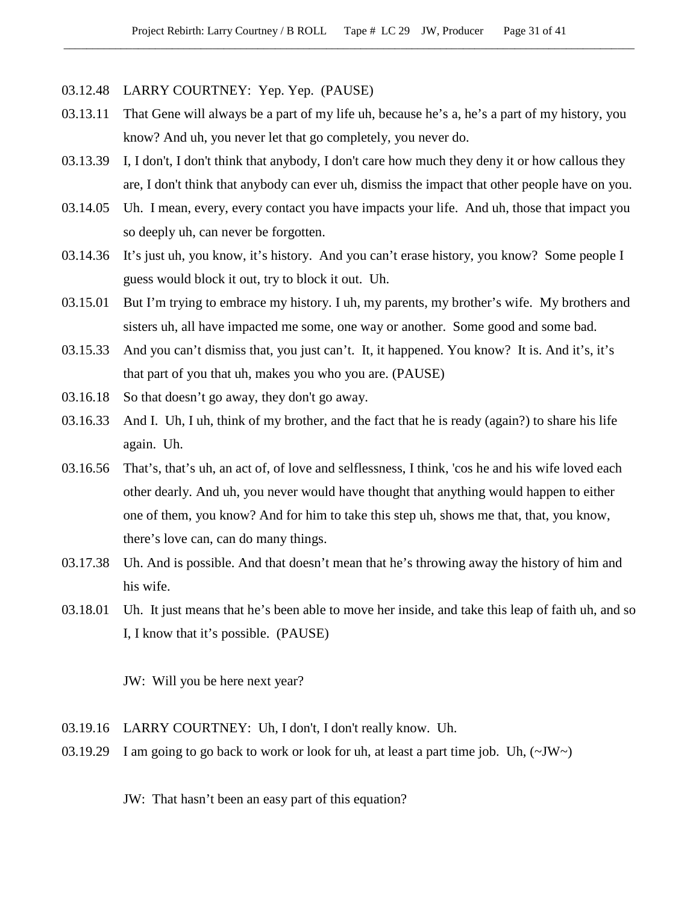- 03.12.48 LARRY COURTNEY: Yep. Yep. (PAUSE)
- 03.13.11 That Gene will always be a part of my life uh, because he's a, he's a part of my history, you know? And uh, you never let that go completely, you never do.
- 03.13.39 I, I don't, I don't think that anybody, I don't care how much they deny it or how callous they are, I don't think that anybody can ever uh, dismiss the impact that other people have on you.
- 03.14.05 Uh. I mean, every, every contact you have impacts your life. And uh, those that impact you so deeply uh, can never be forgotten.
- 03.14.36 It's just uh, you know, it's history. And you can't erase history, you know? Some people I guess would block it out, try to block it out. Uh.
- 03.15.01 But I'm trying to embrace my history. I uh, my parents, my brother's wife. My brothers and sisters uh, all have impacted me some, one way or another. Some good and some bad.
- 03.15.33 And you can't dismiss that, you just can't. It, it happened. You know? It is. And it's, it's that part of you that uh, makes you who you are. (PAUSE)
- 03.16.18 So that doesn't go away, they don't go away.
- 03.16.33 And I. Uh, I uh, think of my brother, and the fact that he is ready (again?) to share his life again. Uh.
- 03.16.56 That's, that's uh, an act of, of love and selflessness, I think, 'cos he and his wife loved each other dearly. And uh, you never would have thought that anything would happen to either one of them, you know? And for him to take this step uh, shows me that, that, you know, there's love can, can do many things.
- 03.17.38 Uh. And is possible. And that doesn't mean that he's throwing away the history of him and his wife.
- 03.18.01 Uh. It just means that he's been able to move her inside, and take this leap of faith uh, and so I, I know that it's possible. (PAUSE)

JW: Will you be here next year?

- 03.19.16 LARRY COURTNEY: Uh, I don't, I don't really know. Uh.
- 03.19.29 I am going to go back to work or look for uh, at least a part time job. Uh,  $(\sim JW)$

JW: That hasn't been an easy part of this equation?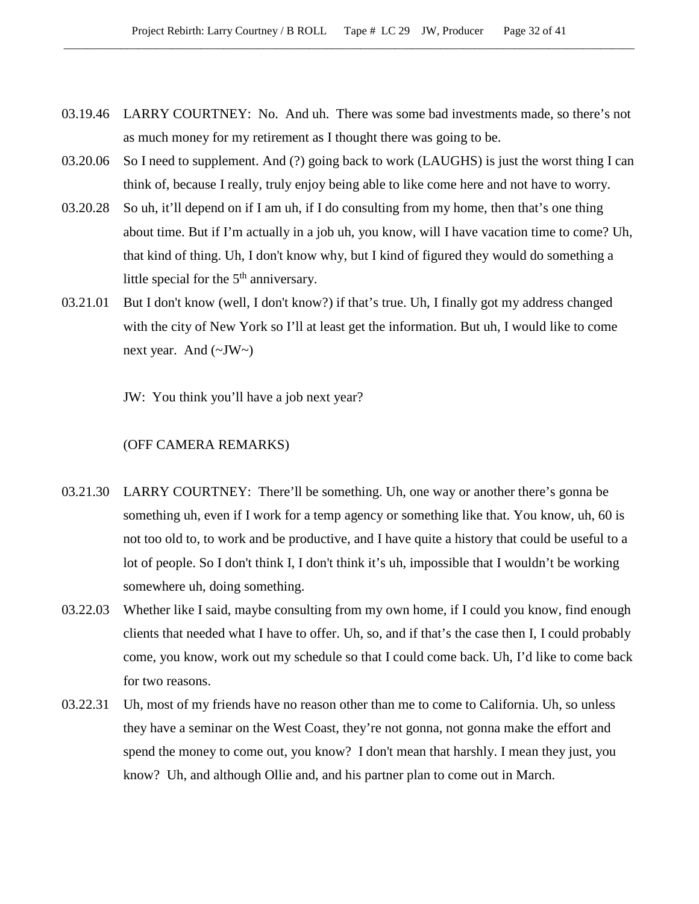- 03.19.46 LARRY COURTNEY: No. And uh. There was some bad investments made, so there's not as much money for my retirement as I thought there was going to be.
- 03.20.06 So I need to supplement. And (?) going back to work (LAUGHS) is just the worst thing I can think of, because I really, truly enjoy being able to like come here and not have to worry.
- 03.20.28 So uh, it'll depend on if I am uh, if I do consulting from my home, then that's one thing about time. But if I'm actually in a job uh, you know, will I have vacation time to come? Uh, that kind of thing. Uh, I don't know why, but I kind of figured they would do something a little special for the  $5<sup>th</sup>$  anniversary.
- 03.21.01 But I don't know (well, I don't know?) if that's true. Uh, I finally got my address changed with the city of New York so I'll at least get the information. But uh, I would like to come next year. And  $(\sim JW)$

JW: You think you'll have a job next year?

### (OFF CAMERA REMARKS)

- 03.21.30 LARRY COURTNEY: There'll be something. Uh, one way or another there's gonna be something uh, even if I work for a temp agency or something like that. You know, uh, 60 is not too old to, to work and be productive, and I have quite a history that could be useful to a lot of people. So I don't think I, I don't think it's uh, impossible that I wouldn't be working somewhere uh, doing something.
- 03.22.03 Whether like I said, maybe consulting from my own home, if I could you know, find enough clients that needed what I have to offer. Uh, so, and if that's the case then I, I could probably come, you know, work out my schedule so that I could come back. Uh, I'd like to come back for two reasons.
- 03.22.31 Uh, most of my friends have no reason other than me to come to California. Uh, so unless they have a seminar on the West Coast, they're not gonna, not gonna make the effort and spend the money to come out, you know? I don't mean that harshly. I mean they just, you know? Uh, and although Ollie and, and his partner plan to come out in March.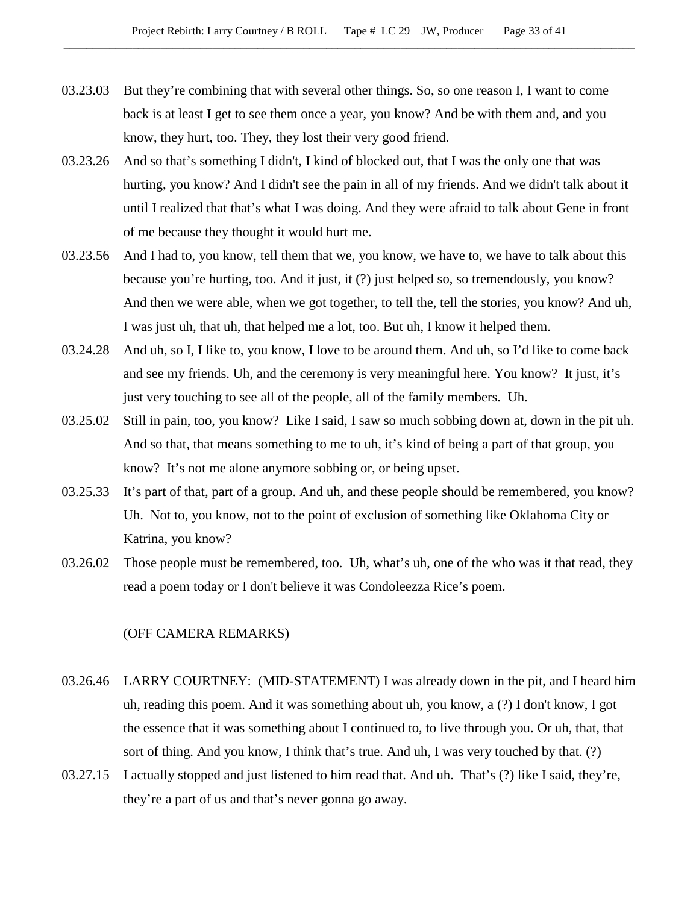- 03.23.03 But they're combining that with several other things. So, so one reason I, I want to come back is at least I get to see them once a year, you know? And be with them and, and you know, they hurt, too. They, they lost their very good friend.
- 03.23.26 And so that's something I didn't, I kind of blocked out, that I was the only one that was hurting, you know? And I didn't see the pain in all of my friends. And we didn't talk about it until I realized that that's what I was doing. And they were afraid to talk about Gene in front of me because they thought it would hurt me.
- 03.23.56 And I had to, you know, tell them that we, you know, we have to, we have to talk about this because you're hurting, too. And it just, it (?) just helped so, so tremendously, you know? And then we were able, when we got together, to tell the, tell the stories, you know? And uh, I was just uh, that uh, that helped me a lot, too. But uh, I know it helped them.
- 03.24.28 And uh, so I, I like to, you know, I love to be around them. And uh, so I'd like to come back and see my friends. Uh, and the ceremony is very meaningful here. You know? It just, it's just very touching to see all of the people, all of the family members. Uh.
- 03.25.02 Still in pain, too, you know? Like I said, I saw so much sobbing down at, down in the pit uh. And so that, that means something to me to uh, it's kind of being a part of that group, you know? It's not me alone anymore sobbing or, or being upset.
- 03.25.33 It's part of that, part of a group. And uh, and these people should be remembered, you know? Uh. Not to, you know, not to the point of exclusion of something like Oklahoma City or Katrina, you know?
- 03.26.02 Those people must be remembered, too. Uh, what's uh, one of the who was it that read, they read a poem today or I don't believe it was Condoleezza Rice's poem.

### (OFF CAMERA REMARKS)

- 03.26.46 LARRY COURTNEY: (MID-STATEMENT) I was already down in the pit, and I heard him uh, reading this poem. And it was something about uh, you know, a (?) I don't know, I got the essence that it was something about I continued to, to live through you. Or uh, that, that sort of thing. And you know, I think that's true. And uh, I was very touched by that. (?)
- 03.27.15 I actually stopped and just listened to him read that. And uh. That's (?) like I said, they're, they're a part of us and that's never gonna go away.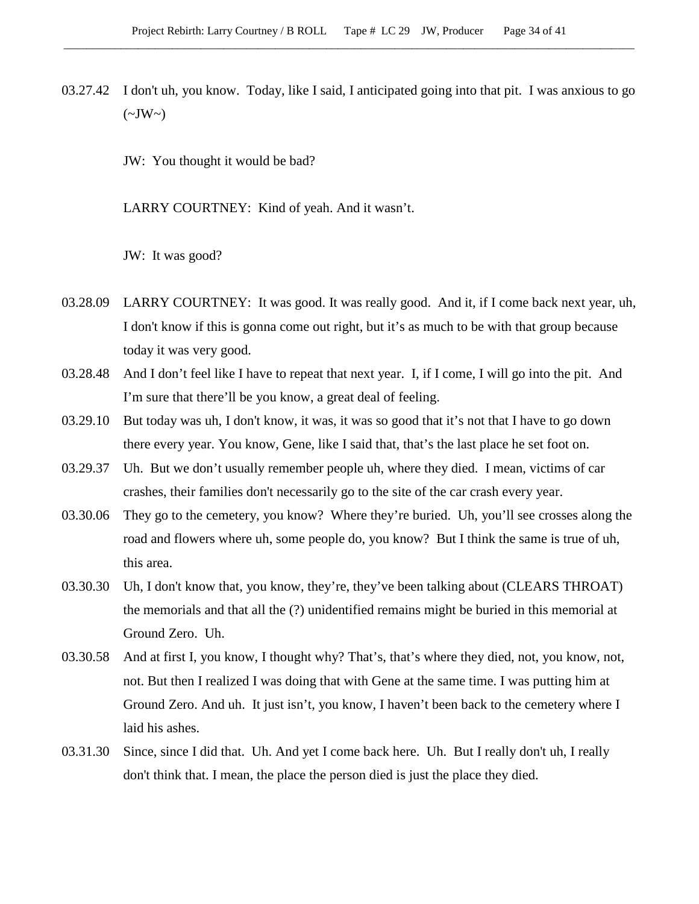03.27.42 I don't uh, you know. Today, like I said, I anticipated going into that pit. I was anxious to go  $(\sim JW \sim)$ 

JW: You thought it would be bad?

LARRY COURTNEY: Kind of yeah. And it wasn't.

JW: It was good?

- 03.28.09 LARRY COURTNEY: It was good. It was really good. And it, if I come back next year, uh, I don't know if this is gonna come out right, but it's as much to be with that group because today it was very good.
- 03.28.48 And I don't feel like I have to repeat that next year. I, if I come, I will go into the pit. And I'm sure that there'll be you know, a great deal of feeling.
- 03.29.10 But today was uh, I don't know, it was, it was so good that it's not that I have to go down there every year. You know, Gene, like I said that, that's the last place he set foot on.
- 03.29.37 Uh. But we don't usually remember people uh, where they died. I mean, victims of car crashes, their families don't necessarily go to the site of the car crash every year.
- 03.30.06 They go to the cemetery, you know? Where they're buried. Uh, you'll see crosses along the road and flowers where uh, some people do, you know? But I think the same is true of uh, this area.
- 03.30.30 Uh, I don't know that, you know, they're, they've been talking about (CLEARS THROAT) the memorials and that all the (?) unidentified remains might be buried in this memorial at Ground Zero. Uh.
- 03.30.58 And at first I, you know, I thought why? That's, that's where they died, not, you know, not, not. But then I realized I was doing that with Gene at the same time. I was putting him at Ground Zero. And uh. It just isn't, you know, I haven't been back to the cemetery where I laid his ashes.
- 03.31.30 Since, since I did that. Uh. And yet I come back here. Uh. But I really don't uh, I really don't think that. I mean, the place the person died is just the place they died.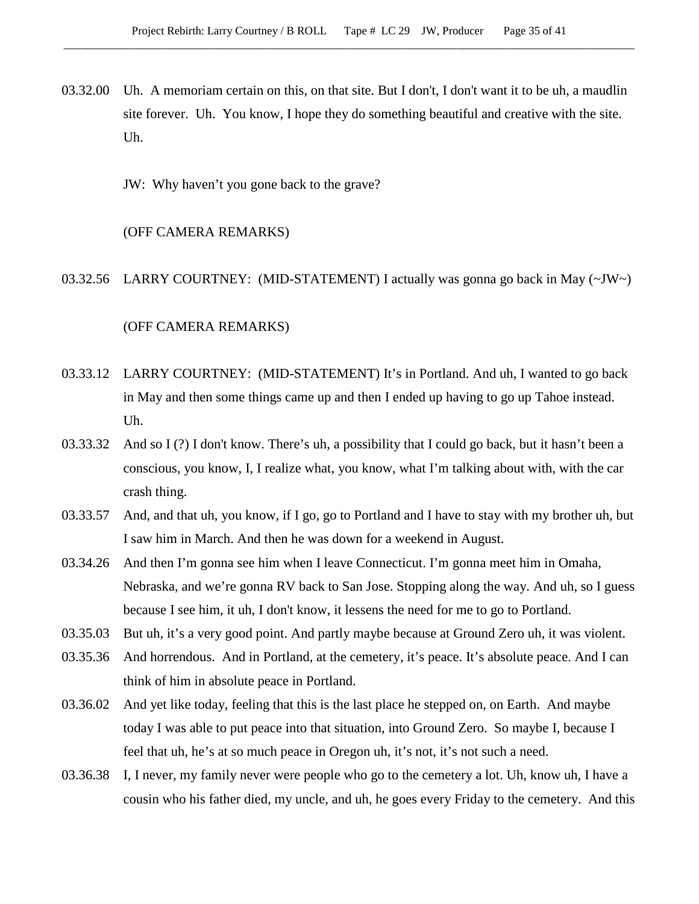- 03.32.00 Uh. A memoriam certain on this, on that site. But I don't, I don't want it to be uh, a maudlin site forever. Uh. You know, I hope they do something beautiful and creative with the site. Uh.
	- JW: Why haven't you gone back to the grave?

### (OFF CAMERA REMARKS)

03.32.56 LARRY COURTNEY: (MID-STATEMENT) I actually was gonna go back in May (~JW~)

### (OFF CAMERA REMARKS)

- 03.33.12 LARRY COURTNEY: (MID-STATEMENT) It's in Portland. And uh, I wanted to go back in May and then some things came up and then I ended up having to go up Tahoe instead. Uh.
- 03.33.32 And so I (?) I don't know. There's uh, a possibility that I could go back, but it hasn't been a conscious, you know, I, I realize what, you know, what I'm talking about with, with the car crash thing.
- 03.33.57 And, and that uh, you know, if I go, go to Portland and I have to stay with my brother uh, but I saw him in March. And then he was down for a weekend in August.
- 03.34.26 And then I'm gonna see him when I leave Connecticut. I'm gonna meet him in Omaha, Nebraska, and we're gonna RV back to San Jose. Stopping along the way. And uh, so I guess because I see him, it uh, I don't know, it lessens the need for me to go to Portland.
- 03.35.03 But uh, it's a very good point. And partly maybe because at Ground Zero uh, it was violent.
- 03.35.36 And horrendous. And in Portland, at the cemetery, it's peace. It's absolute peace. And I can think of him in absolute peace in Portland.
- 03.36.02 And yet like today, feeling that this is the last place he stepped on, on Earth. And maybe today I was able to put peace into that situation, into Ground Zero. So maybe I, because I feel that uh, he's at so much peace in Oregon uh, it's not, it's not such a need.
- 03.36.38 I, I never, my family never were people who go to the cemetery a lot. Uh, know uh, I have a cousin who his father died, my uncle, and uh, he goes every Friday to the cemetery. And this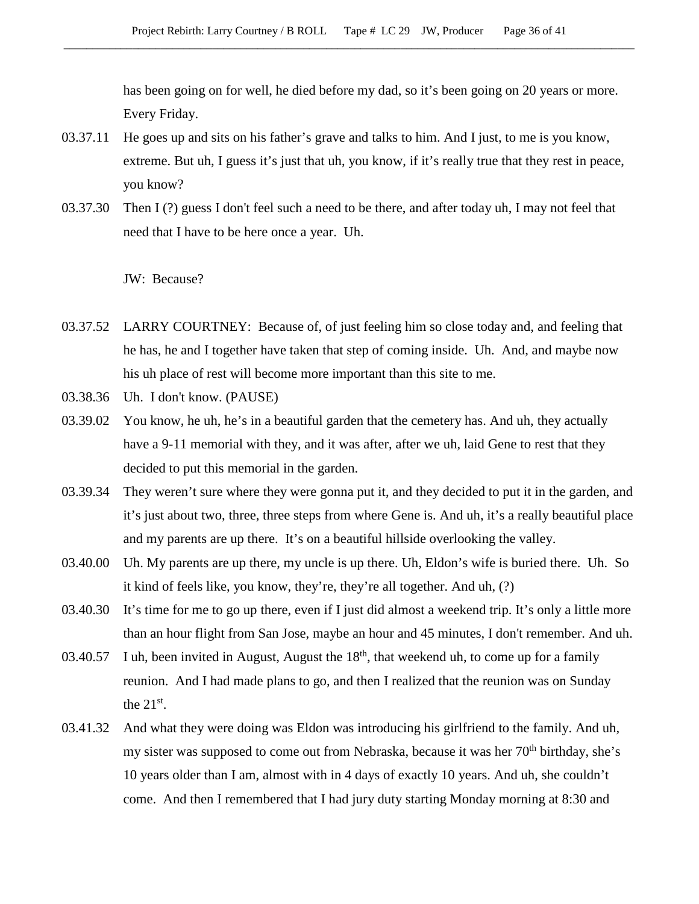has been going on for well, he died before my dad, so it's been going on 20 years or more. Every Friday.

- 03.37.11 He goes up and sits on his father's grave and talks to him. And I just, to me is you know, extreme. But uh, I guess it's just that uh, you know, if it's really true that they rest in peace, you know?
- 03.37.30 Then I (?) guess I don't feel such a need to be there, and after today uh, I may not feel that need that I have to be here once a year. Uh.

JW: Because?

- 03.37.52 LARRY COURTNEY: Because of, of just feeling him so close today and, and feeling that he has, he and I together have taken that step of coming inside. Uh. And, and maybe now his uh place of rest will become more important than this site to me.
- 03.38.36 Uh. I don't know. (PAUSE)
- 03.39.02 You know, he uh, he's in a beautiful garden that the cemetery has. And uh, they actually have a 9-11 memorial with they, and it was after, after we uh, laid Gene to rest that they decided to put this memorial in the garden.
- 03.39.34 They weren't sure where they were gonna put it, and they decided to put it in the garden, and it's just about two, three, three steps from where Gene is. And uh, it's a really beautiful place and my parents are up there. It's on a beautiful hillside overlooking the valley.
- 03.40.00 Uh. My parents are up there, my uncle is up there. Uh, Eldon's wife is buried there. Uh. So it kind of feels like, you know, they're, they're all together. And uh, (?)
- 03.40.30 It's time for me to go up there, even if I just did almost a weekend trip. It's only a little more than an hour flight from San Jose, maybe an hour and 45 minutes, I don't remember. And uh.
- 03.40.57 I uh, been invited in August, August the  $18<sup>th</sup>$ , that weekend uh, to come up for a family reunion. And I had made plans to go, and then I realized that the reunion was on Sunday the  $21<sup>st</sup>$ .
- 03.41.32 And what they were doing was Eldon was introducing his girlfriend to the family. And uh, my sister was supposed to come out from Nebraska, because it was her 70<sup>th</sup> birthday, she's 10 years older than I am, almost with in 4 days of exactly 10 years. And uh, she couldn't come. And then I remembered that I had jury duty starting Monday morning at 8:30 and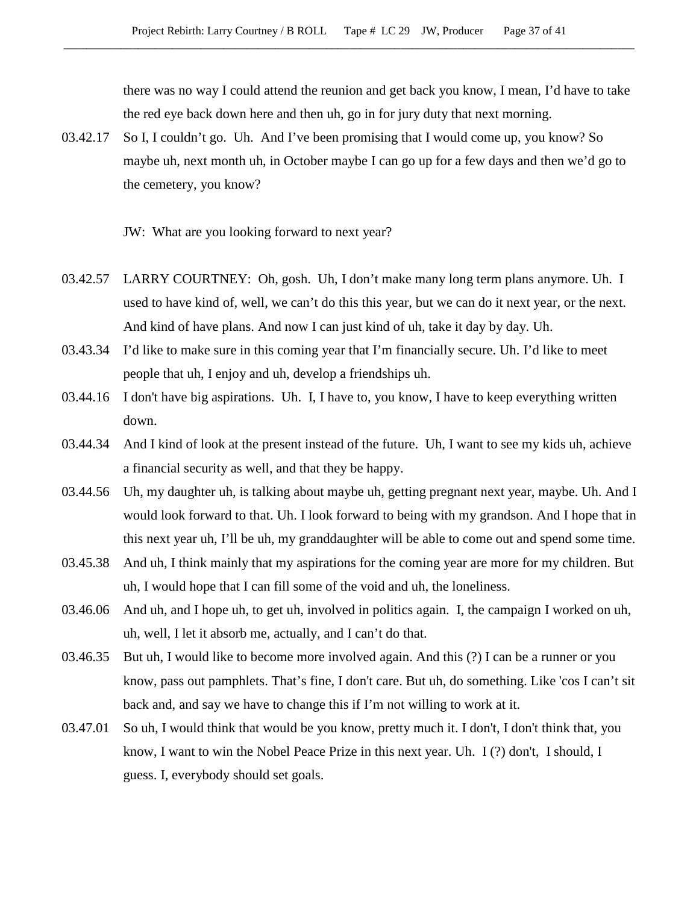there was no way I could attend the reunion and get back you know, I mean, I'd have to take the red eye back down here and then uh, go in for jury duty that next morning.

03.42.17 So I, I couldn't go. Uh. And I've been promising that I would come up, you know? So maybe uh, next month uh, in October maybe I can go up for a few days and then we'd go to the cemetery, you know?

JW: What are you looking forward to next year?

- 03.42.57 LARRY COURTNEY: Oh, gosh. Uh, I don't make many long term plans anymore. Uh. I used to have kind of, well, we can't do this this year, but we can do it next year, or the next. And kind of have plans. And now I can just kind of uh, take it day by day. Uh.
- 03.43.34 I'd like to make sure in this coming year that I'm financially secure. Uh. I'd like to meet people that uh, I enjoy and uh, develop a friendships uh.
- 03.44.16 I don't have big aspirations. Uh. I, I have to, you know, I have to keep everything written down.
- 03.44.34 And I kind of look at the present instead of the future. Uh, I want to see my kids uh, achieve a financial security as well, and that they be happy.
- 03.44.56 Uh, my daughter uh, is talking about maybe uh, getting pregnant next year, maybe. Uh. And I would look forward to that. Uh. I look forward to being with my grandson. And I hope that in this next year uh, I'll be uh, my granddaughter will be able to come out and spend some time.
- 03.45.38 And uh, I think mainly that my aspirations for the coming year are more for my children. But uh, I would hope that I can fill some of the void and uh, the loneliness.
- 03.46.06 And uh, and I hope uh, to get uh, involved in politics again. I, the campaign I worked on uh, uh, well, I let it absorb me, actually, and I can't do that.
- 03.46.35 But uh, I would like to become more involved again. And this (?) I can be a runner or you know, pass out pamphlets. That's fine, I don't care. But uh, do something. Like 'cos I can't sit back and, and say we have to change this if I'm not willing to work at it.
- 03.47.01 So uh, I would think that would be you know, pretty much it. I don't, I don't think that, you know, I want to win the Nobel Peace Prize in this next year. Uh. I (?) don't, I should, I guess. I, everybody should set goals.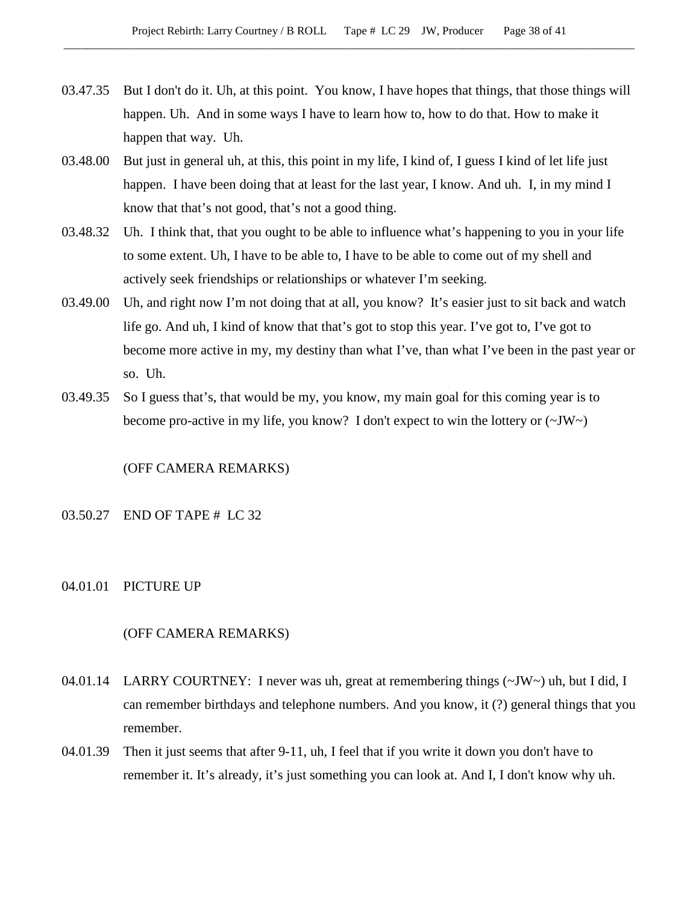- 03.47.35 But I don't do it. Uh, at this point. You know, I have hopes that things, that those things will happen. Uh. And in some ways I have to learn how to, how to do that. How to make it happen that way. Uh.
- 03.48.00 But just in general uh, at this, this point in my life, I kind of, I guess I kind of let life just happen. I have been doing that at least for the last year, I know. And uh. I, in my mind I know that that's not good, that's not a good thing.
- 03.48.32 Uh. I think that, that you ought to be able to influence what's happening to you in your life to some extent. Uh, I have to be able to, I have to be able to come out of my shell and actively seek friendships or relationships or whatever I'm seeking.
- 03.49.00 Uh, and right now I'm not doing that at all, you know? It's easier just to sit back and watch life go. And uh, I kind of know that that's got to stop this year. I've got to, I've got to become more active in my, my destiny than what I've, than what I've been in the past year or so. Uh.
- 03.49.35 So I guess that's, that would be my, you know, my main goal for this coming year is to become pro-active in my life, you know? I don't expect to win the lottery or  $(\sim JW)$

### (OFF CAMERA REMARKS)

### 03.50.27 END OF TAPE # LC 32

### 04.01.01 PICTURE UP

### (OFF CAMERA REMARKS)

- 04.01.14 LARRY COURTNEY: I never was uh, great at remembering things  $(\sim JW)$  uh, but I did, I can remember birthdays and telephone numbers. And you know, it (?) general things that you remember.
- 04.01.39 Then it just seems that after 9-11, uh, I feel that if you write it down you don't have to remember it. It's already, it's just something you can look at. And I, I don't know why uh.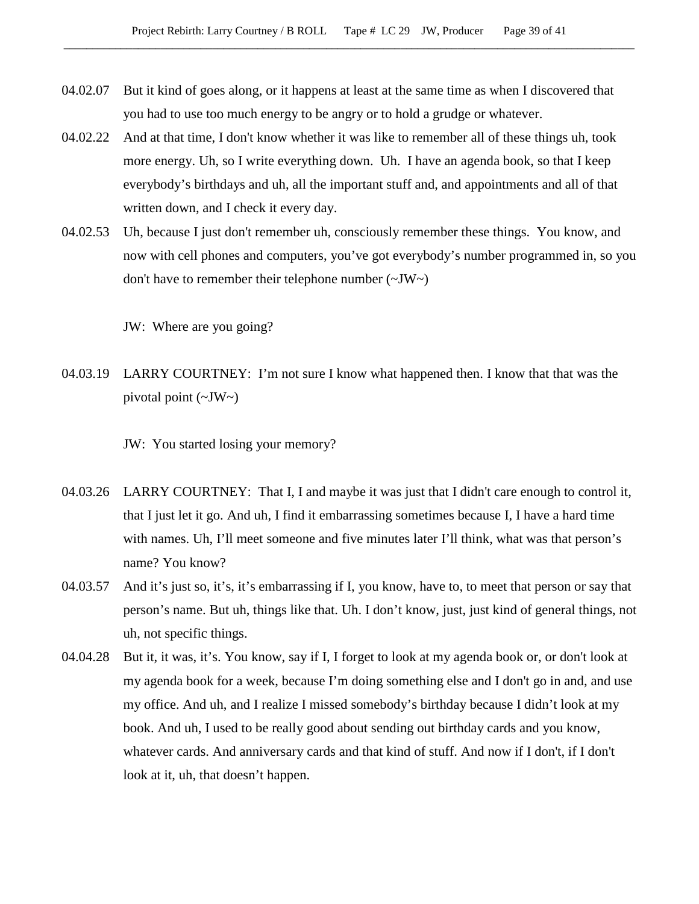- 04.02.07 But it kind of goes along, or it happens at least at the same time as when I discovered that you had to use too much energy to be angry or to hold a grudge or whatever.
- 04.02.22 And at that time, I don't know whether it was like to remember all of these things uh, took more energy. Uh, so I write everything down. Uh. I have an agenda book, so that I keep everybody's birthdays and uh, all the important stuff and, and appointments and all of that written down, and I check it every day.
- 04.02.53 Uh, because I just don't remember uh, consciously remember these things. You know, and now with cell phones and computers, you've got everybody's number programmed in, so you don't have to remember their telephone number (~JW~)

JW: Where are you going?

04.03.19 LARRY COURTNEY: I'm not sure I know what happened then. I know that that was the pivotal point  $(\sim JW)$ 

JW: You started losing your memory?

- 04.03.26 LARRY COURTNEY: That I, I and maybe it was just that I didn't care enough to control it, that I just let it go. And uh, I find it embarrassing sometimes because I, I have a hard time with names. Uh, I'll meet someone and five minutes later I'll think, what was that person's name? You know?
- 04.03.57 And it's just so, it's, it's embarrassing if I, you know, have to, to meet that person or say that person's name. But uh, things like that. Uh. I don't know, just, just kind of general things, not uh, not specific things.
- 04.04.28 But it, it was, it's. You know, say if I, I forget to look at my agenda book or, or don't look at my agenda book for a week, because I'm doing something else and I don't go in and, and use my office. And uh, and I realize I missed somebody's birthday because I didn't look at my book. And uh, I used to be really good about sending out birthday cards and you know, whatever cards. And anniversary cards and that kind of stuff. And now if I don't, if I don't look at it, uh, that doesn't happen.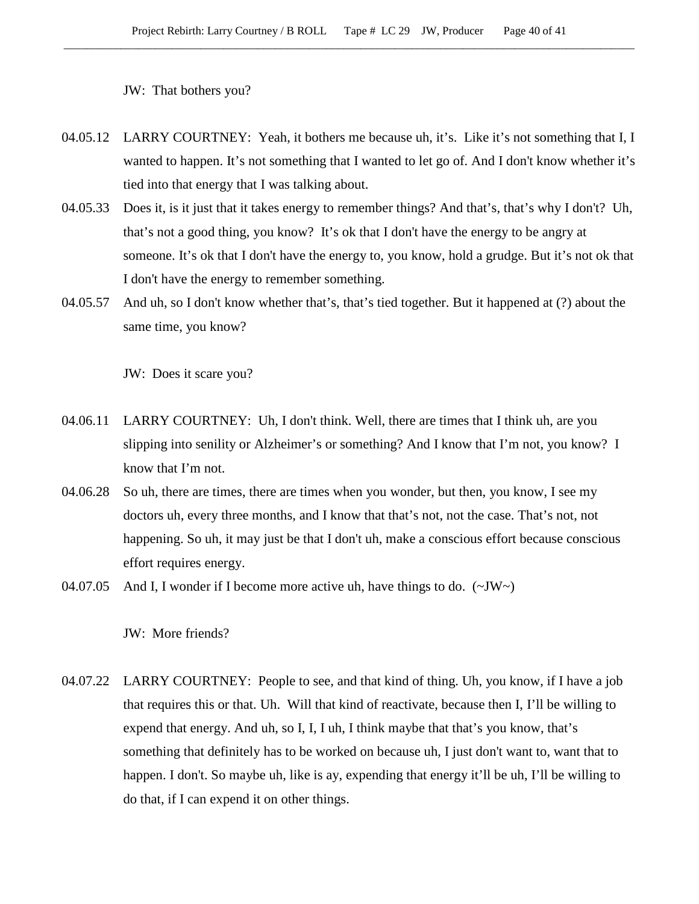JW: That bothers you?

- 04.05.12 LARRY COURTNEY: Yeah, it bothers me because uh, it's. Like it's not something that I, I wanted to happen. It's not something that I wanted to let go of. And I don't know whether it's tied into that energy that I was talking about.
- 04.05.33 Does it, is it just that it takes energy to remember things? And that's, that's why I don't? Uh, that's not a good thing, you know? It's ok that I don't have the energy to be angry at someone. It's ok that I don't have the energy to, you know, hold a grudge. But it's not ok that I don't have the energy to remember something.
- 04.05.57 And uh, so I don't know whether that's, that's tied together. But it happened at (?) about the same time, you know?

JW: Does it scare you?

- 04.06.11 LARRY COURTNEY: Uh, I don't think. Well, there are times that I think uh, are you slipping into senility or Alzheimer's or something? And I know that I'm not, you know? I know that I'm not.
- 04.06.28 So uh, there are times, there are times when you wonder, but then, you know, I see my doctors uh, every three months, and I know that that's not, not the case. That's not, not happening. So uh, it may just be that I don't uh, make a conscious effort because conscious effort requires energy.
- 04.07.05 And I, I wonder if I become more active uh, have things to do.  $(\sim JW)$

JW: More friends?

04.07.22 LARRY COURTNEY: People to see, and that kind of thing. Uh, you know, if I have a job that requires this or that. Uh. Will that kind of reactivate, because then I, I'll be willing to expend that energy. And uh, so I, I, I uh, I think maybe that that's you know, that's something that definitely has to be worked on because uh, I just don't want to, want that to happen. I don't. So maybe uh, like is ay, expending that energy it'll be uh, I'll be willing to do that, if I can expend it on other things.